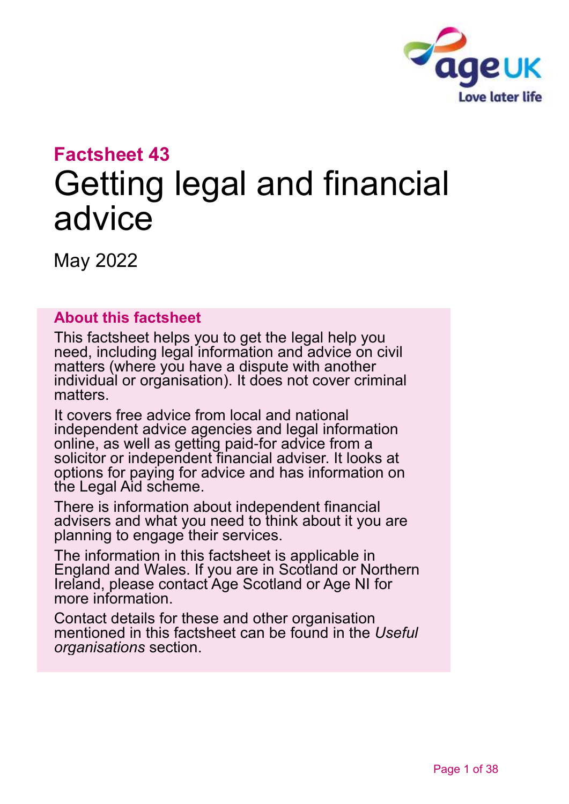

# **Factsheet 43** Getting legal and financial advice

May 2022

#### **About this factsheet**

This factsheet helps you to get the legal help you need, including legal information and advice on civil matters (where you have a dispute with another individual or organisation). It does not cover criminal matters.

It covers free advice from local and national independent advice agencies and legal information online, as well as getting paid-for advice from a solicitor or independent financial adviser. It looks at options for paying for advice and has information on the Legal Aid scheme.

There is information about independent financial advisers and what you need to think about it you are planning to engage their services.

The information in this factsheet is applicable in England and Wales. If you are in Scotland or Northern Ireland, please contact [Age Scotland or Age NI](#page-36-0) for more information.

Contact details for these and other [organisation](#page-29-0) mentioned in this factsheet can be found in the *[Useful](#page-29-0)  [organisations](#page-29-0)* section.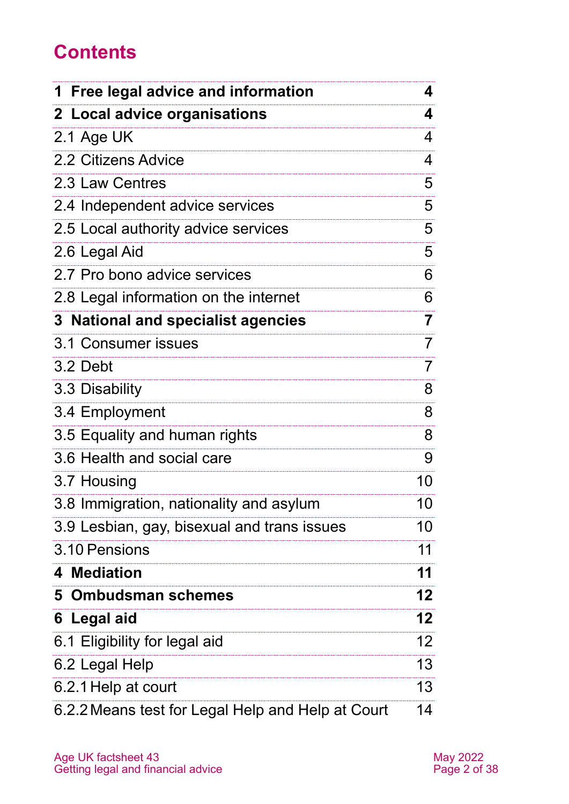## **Contents**

| 1 Free legal advice and information               |                 |
|---------------------------------------------------|-----------------|
| 2 Local advice organisations                      | 4               |
| 2.1 Age UK                                        | 4               |
| 2.2 Citizens Advice                               | 4               |
| 2.3 Law Centres                                   | 5               |
| 2.4 Independent advice services                   | 5               |
| 2.5 Local authority advice services               | 5               |
| 2.6 Legal Aid                                     | 5               |
| 2.7 Pro bono advice services                      | 6               |
| 2.8 Legal information on the internet             | 6               |
| 3 National and specialist agencies                | 7               |
| 3.1 Consumer issues                               | 7               |
| 3.2 Debt                                          | $\overline{7}$  |
| 3.3 Disability                                    | 8               |
| 3.4 Employment                                    | 8               |
| 3.5 Equality and human rights                     | 8               |
| 3.6 Health and social care                        | 9               |
| 3.7 Housing                                       | 10              |
| 3.8 Immigration, nationality and asylum           | 10              |
| 3.9 Lesbian, gay, bisexual and trans issues       | 10              |
| 3.10 Pensions                                     | 11              |
| 4 Mediation                                       | 11              |
| 5 Ombudsman schemes                               | 12 <sub>2</sub> |
| 6 Legal aid                                       | 12 <sub>2</sub> |
| 6.1 Eligibility for legal aid                     | 12 <sup>2</sup> |
| 6.2 Legal Help                                    | 13              |
| 6.2.1 Help at court                               | 13              |
| 6.2.2 Means test for Legal Help and Help at Court | 14              |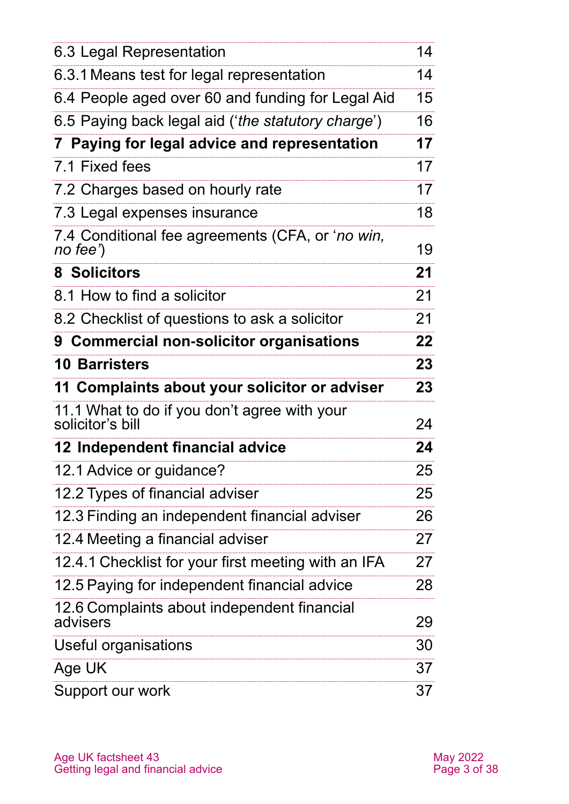| 6.3 Legal Representation                                         | 14 |
|------------------------------------------------------------------|----|
| 6.3.1 Means test for legal representation                        | 14 |
| 6.4 People aged over 60 and funding for Legal Aid                | 15 |
| 6.5 Paying back legal aid ('the statutory charge')               | 16 |
| 7 Paying for legal advice and representation                     | 17 |
| 7.1 Fixed fees                                                   | 17 |
| 7.2 Charges based on hourly rate                                 | 17 |
| 7.3 Legal expenses insurance                                     | 18 |
| 7.4 Conditional fee agreements (CFA, or 'no win,<br>no fee')     | 19 |
| <b>8 Solicitors</b>                                              | 21 |
| 8.1 How to find a solicitor                                      | 21 |
| 8.2 Checklist of questions to ask a solicitor                    | 21 |
| 9 Commercial non-solicitor organisations                         | 22 |
| <b>10 Barristers</b>                                             | 23 |
| 11 Complaints about your solicitor or adviser                    | 23 |
| 11.1 What to do if you don't agree with your<br>solicitor's bill | 24 |
| 12 Independent financial advice                                  | 24 |
| 12.1 Advice or guidance?                                         | 25 |
| 12.2 Types of financial adviser                                  | 25 |
| 12.3 Finding an independent financial adviser                    | 26 |
| 12.4 Meeting a financial adviser                                 | 27 |
| 12.4.1 Checklist for your first meeting with an IFA              | 27 |
| 12.5 Paying for independent financial advice                     | 28 |
| 12.6 Complaints about independent financial<br>advisers          | 29 |
| Useful organisations                                             | 30 |
| Age UK                                                           | 37 |
| Support our work                                                 | 37 |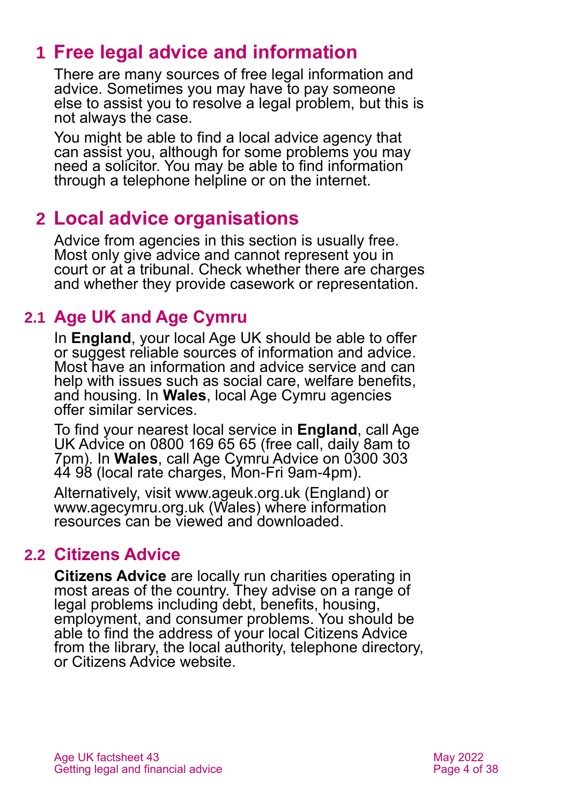## <span id="page-3-0"></span>**1 Free legal advice and information**

There are many sources of free legal information and advice. Sometimes you may have to pay someone else to assist you to resolve a legal problem, but this is not always the case.

You might be able to find a local advice agency that can assist you, although for some problems you may need a solicitor. You may be able to find information through a telephone helpline or on the internet.

## <span id="page-3-1"></span>**2 Local advice organisations**

Advice from agencies in this section is usually free. Most only give advice and cannot represent you in court or at a tribunal. Check whether there are charges and whether they provide casework or representation.

## **2.1 Age UK and Age Cymru**

In **England**, your local [Age UK](http://www.ageuk.org.uk/) should be able to offer or suggest reliable sources of information and advice. Most have an information and advice service and can help with issues such as social care, welfare benefits, and housing. In **Wales**, local [Age Cymru](http://www.ageuk.org.uk/cymru/) agencies offer similar services.

To find your nearest local service in **England**, call Age UK Advice on 0800 169 65 65 (free call, daily 8am to 7pm). In **Wales**, call Age Cymru Advice on 0300 303 44 98 (local rate charges, Mon-Fri 9am-4pm).

Alternatively, visit [www.ageuk.org.uk](http://www.ageuk.org.uk/) (England) or [www.agecymru.org.uk](http://www.agecymru.org.uk/) (Wales) where information resources can be viewed and downloaded.

## **2.2 Citizens Advice**

**[Citizens Advice](https://www.citizensadvice.org.uk/)** are locally run charities operating in most areas of the country. They advise on a range of legal problems including debt, benefits, housing, employment, and consumer problems. You should be able to find the address of your local Citizens Advice from the library, the local authority, telephone directory, or [Citizens Advice](https://www.citizensadvice.org.uk/) website.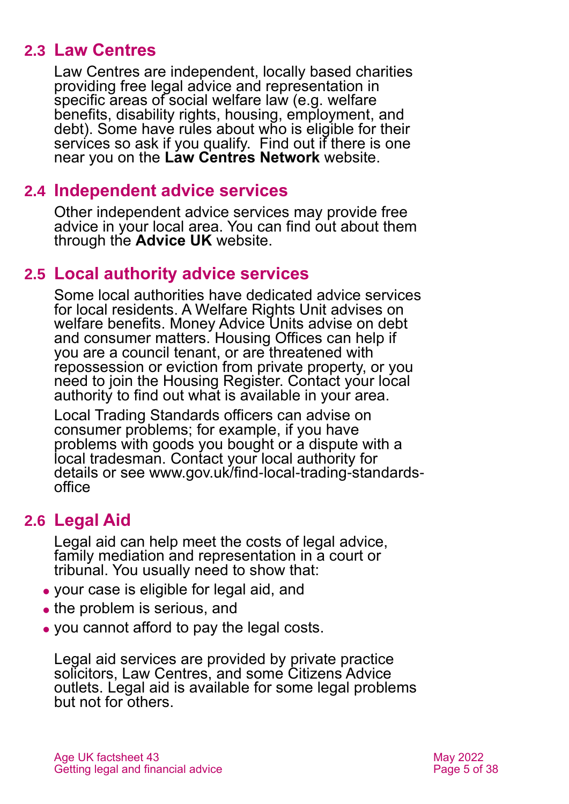### **2.3 Law Centres**

Law Centres are independent, locally based charities providing free legal advice and representation in specific areas of social welfare law (e.g. welfare benefits, disability rights, housing, employment, and debt). Some have rules about who is eligible for their services so ask if you qualify. Find out if there is one near you on the **[Law Centres Network](http://www.lawcentres.org.uk/)** website.

#### **2.4 Independent advice services**

Other independent advice services may provide free advice in your local area. You can find out about them through the **[Advice UK](https://portal.adviceuk.org.uk/s/searchdirectory?id=a2n4J0000002KtY)** website.

#### **2.5 Local authority advice services**

Some local authorities have dedicated advice services for local residents. A Welfare Rights Unit advises on welfare benefits. Money Advice Units advise on debt and consumer matters. Housing Offices can help if you are a council tenant, or are threatened with repossession or eviction from private property, or you need to join the Housing Register. Contact your local authority to find out what is available in your area.

Local Trading Standards officers can advise on consumer problems; for example, if you have problems with goods you bought or a dispute with a local tradesman. Contact your local authority for details or see [www.gov.uk/find-local-trading-standards](http://www.gov.uk/find-local-trading-standards-office)[office](http://www.gov.uk/find-local-trading-standards-office)

### <span id="page-4-0"></span>**2.6 Legal Aid**

Legal aid can help meet the costs of legal advice, family mediation and representation in a court or tribunal. You usually need to show that:

- ⚫ your case is eligible for legal aid, and
- the problem is serious, and
- ⚫ you cannot afford to pay the legal costs.

Legal aid services are provided by private practice solicitors, Law Centres, and some Citizens Advice outlets. Legal aid is available for some legal problems but not for others.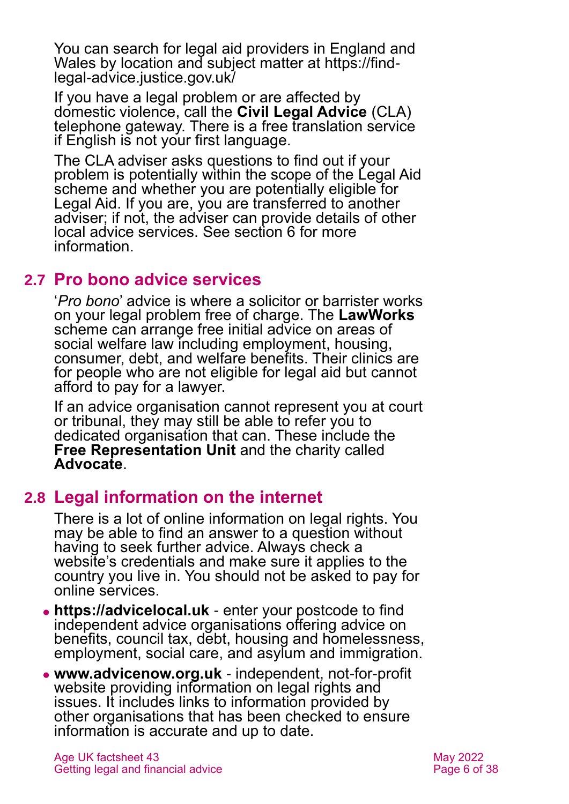You can search for legal aid providers in England and Wales by location and subject matter at [https://find](https://find-legal-advice.justice.gov.uk/)[legal-advice.justice.gov.uk/](https://find-legal-advice.justice.gov.uk/)

If you have a legal problem or are affected by domestic violence, call the **[Civil Legal Advice](https://www.gov.uk/civil-legal-advice)** (CLA) telephone gateway. There is a free translation service if English is not your first language.

The CLA adviser asks questions to find out if your problem is potentially within the scope of the Legal Aid scheme and whether you are potentially eligible for Legal Aid. If you are, you are transferred to another adviser; if not, the adviser can provide details of other local advice services. See [section 6](#page-11-1) for more information.

#### **2.7 Pro bono advice services**

'*Pro bono*' advice is where a solicitor or barrister works on your legal problem free of charge. The **[LawWorks](https://www.lawworks.org.uk/)** scheme can arrange free initial advice on areas of social welfare law including employment, housing, consumer, debt, and welfare benefits. Their clinics are for people who are not eligible for legal aid but cannot afford to pay for a lawyer.

If an advice organisation cannot represent you at court or tribunal, they may still be able to refer you to dedicated organisation that can. These include the **[Free Representation Unit](http://www.thefru.org.uk/)** and the charity called **[Advocate](https://weareadvocate.org.uk/)**.

### **2.8 Legal information on the internet**

There is a lot of online information on legal rights. You may be able to find an answer to a question without having to seek further advice. Always check a website's credentials and make sure it applies to the country you live in. You should not be asked to pay for online services.

- ⚫ **[https://advicelocal.uk](https://advicelocal.uk/)** enter your postcode to find independent advice organisations offering advice on benefits, council tax, debt, housing and homelessness, employment, social care, and asylum and immigration.
- ⚫ **[www.advicenow.org.uk](http://www.advicenow.org.uk/)** independent, not-for-profit website providing information on legal rights and issues. It includes links to information provided by other organisations that has been checked to ensure information is accurate and up to date.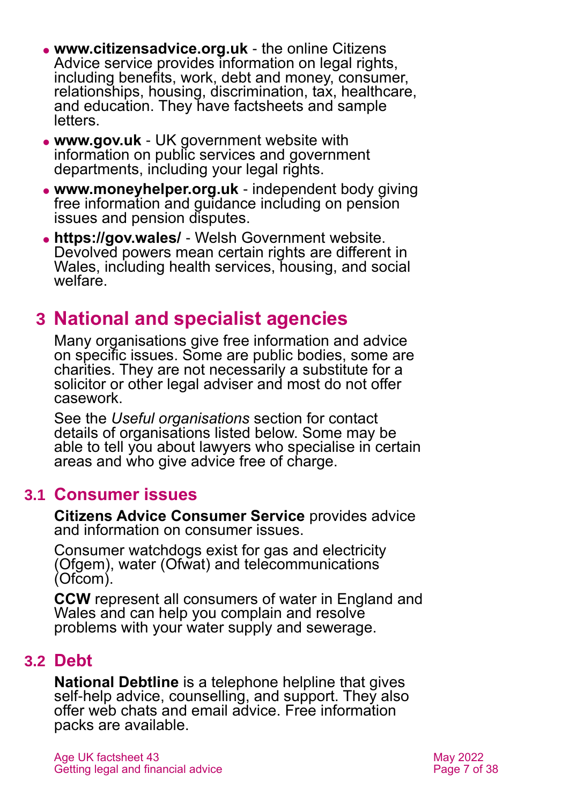- ⚫ **[www.citizensadvice.org.uk](http://www.citizensadvice.org.uk/)** the online Citizens Advice service provides information on legal rights, including benefits, work, debt and money, consumer, relationships, housing, discrimination, tax, healthcare, and education. They have factsheets and sample letters.
- ⚫ **[www.gov.uk](http://www.gov.uk/)** UK government website with information on public services and government departments, including your legal rights.
- ⚫ **[www.moneyhelper.org.uk](http://www.moneyhelper.org.uk/)** independent body giving free information and guidance including on pension issues and pension disputes.
- ⚫ **<https://gov.wales/>** Welsh Government website. Devolved powers mean certain rights are different in Wales, including health services, housing, and social welfare.

## <span id="page-6-0"></span>**3 National and specialist agencies**

Many organisations give free information and advice on specific issues. Some are public bodies, some are charities. They are not necessarily a substitute for a solicitor or other legal adviser and most do not offer casework.

See the *[Useful organisations](#page-29-0)* section for contact details of organisations listed below. Some may be able to tell you about lawyers who specialise in certain areas and who give advice free of charge.

#### **3.1 Consumer issues**

**[Citizens Advice Consumer Service](https://www.citizensadvice.org.uk/consumer/get-more-help/if-you-need-more-help-about-a-consumer-issue/)** provides advice and information on consumer issues.

Consumer watchdogs exist for gas and electricity [\(Ofgem\)](https://www.ofgem.gov.uk/), water [\(Ofwat\)](https://www.ofwat.gov.uk/) and telecommunications [\(Ofcom\)](https://www.ofcom.org.uk/home).

**[CCW](https://www.ccwater.org.uk/)** represent all consumers of water in England and Wales and can help you complain and resolve problems with your water supply and sewerage.

### **3.2 Debt**

**[National Debtline](https://www.nationaldebtline.org/)** is a telephone helpline that gives self-help advice, counselling, and support. They also offer web chats and email advice. Free information packs are available.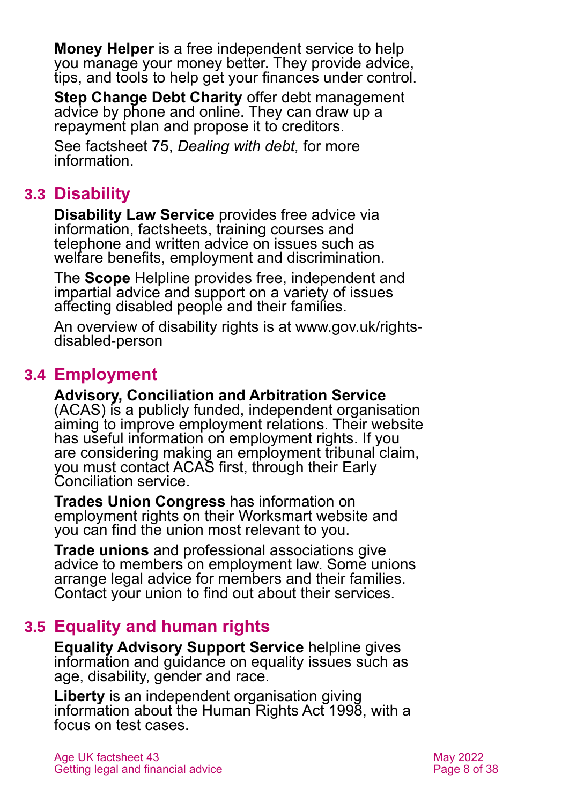**[Money Helper](https://www.moneyhelper.org.uk/en)** is a free independent service to help you manage your money better. They provide advice, tips, and tools to help get your finances under control.

**[Step Change Debt Charity](https://www.stepchange.org/)** offer debt management advice by phone and online. They can draw up a repayment plan and propose it to creditors.

See factsheet 75, *[Dealing with debt,](https://www.ageuk.org.uk/globalassets/age-uk/documents/factsheets/fs75_dealing_with_debt_fcs.pdf)* for more information.

## **3.3 Disability**

**[Disability Law Service](https://dls.org.uk/free-advice/by-phone-or-in-writing/)** provides free advice via information, factsheets, training courses and telephone and written advice on issues such as welfare benefits, employment and discrimination.

The **Scope** [Helpline](https://www.scope.org.uk/helpline/) provides free, independent and impartial advice and support on a variety of issues affecting disabled people and their families.

An overview of disability rights is at [www.gov.uk/rights](http://www.gov.uk/rights-disabled-person)[disabled-person](http://www.gov.uk/rights-disabled-person)

## **3.4 Employment**

**[Advisory, Conciliation and Arbitration Service](http://www.acas.org.uk/index.aspx?articleid=1461)** (ACAS) is a publicly funded, independent organisation aiming to improve employment relations. Their website has useful information on employment rights. If you are considering making an employment tribunal claim, you must contact ACAS first, through their [Early](http://www.acas.org.uk/index.aspx?articleid=4028)  [Conciliation service.](http://www.acas.org.uk/index.aspx?articleid=4028)

**[Trades Union Congress](https://www.tuc.org.uk/)** has information on employment rights on their [Worksmart](https://worksmart.org.uk/) website and you can find the union most relevant to you.

**Trade unions** and professional associations give advice to members on employment law. Some unions arrange legal advice for members and their families. Contact your union to find out about their services.

## **3.5 Equality and human rights**

**[Equality Advisory Support Service](https://www.equalityadvisoryservice.com/)** helpline gives information and guidance on equality issues such as age, disability, gender and race.

**[Liberty](https://www.libertyhumanrights.org.uk/advice-and-information/)** is an independent organisation giving information about the Human Rights Act 1998, with a focus on test cases.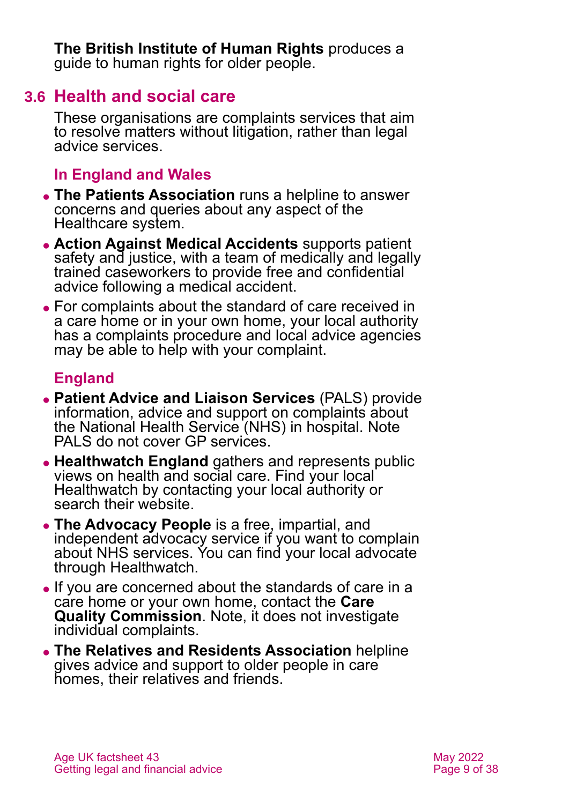**[The British Institute of Human Rights](https://www.bihr.org.uk/olderpeopleguide)** produces a [guide to human rights for older people.](https://www.bihr.org.uk/olderpeopleguide)

### **3.6 Health and social care**

These organisations are complaints services that aim to resolve matters without litigation, rather than legal advice services.

### **In England and Wales**

- ⚫ **[The Patients Association](https://www.patients-association.org.uk/)** runs a helpline to answer concerns and queries about any aspect of the Healthcare system.
- ⚫ **[Action Against Medical Accidents](https://www.avma.org.uk/)** supports patient safety and justice, with a team of medically and legally trained caseworkers to provide free and confidential advice following a medical accident.
- ⚫ For complaints about the standard of care received in a care home or in your own home, your local authority has a complaints procedure and local advice agencies may be able to help with your complaint.

### **England**

- ⚫ **[Patient Advice and Liaison Services](https://www.nhs.uk/common-health-questions/nhs-services-and-treatments/what-is-pals-patient-advice-and-liaison-service/)** (PALS) provide information, advice and support on complaints about the National Health Service (NHS) in hospital. Note PALS do not cover GP services.
- ⚫ **[Healthwatch England](http://www.healthwatch.co.uk/)** gathers and represents public views on health and social care. Find your local Healthwatch by contacting your local authority or search their website.
- ⚫ **[The Advocacy People](https://www.theadvocacypeople.org.uk/)** is a free, impartial, and independent advocacy service if you want to complain about NHS services. You can find your local advocate through Healthwatch.
- ⚫ If you are concerned about the standards of care in a care home or your own home, contact the **[Care](http://www.cqc.org.uk/)  [Quality Commission](http://www.cqc.org.uk/)**[. Note,](http://www.cqc.org.uk.note/) it does not investigate individual complaints.
- ⚫ **[The Relatives and Residents Association](https://www.relres.org/helpline/contact-the-helpline/)** helpline gives advice and support to older people in care homes, their relatives and friends.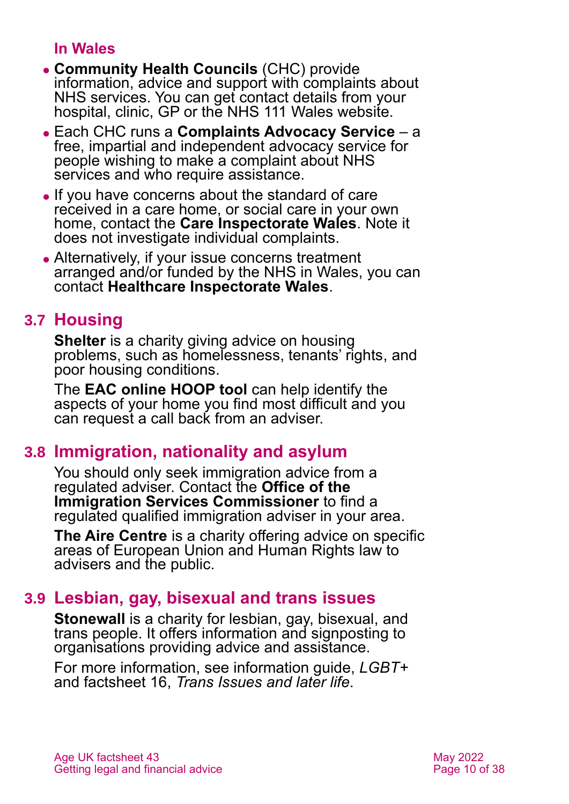#### **In Wales**

- ⚫ **[Community Health Councils](http://www.wales.nhs.uk/ourservices/directory/CommunityHealthCouncils)** (CHC) provide information, advice and support with complaints about NHS services. You can get contact details from your hospital, clinic, GP or the [NHS 111 Wales](http://www.wales.nhs.uk/) website.
- ⚫ Each CHC runs a **Complaints Advocacy Service** a free, impartial and independent advocacy service for people wishing to make a complaint about NHS services and who require assistance.
- ⚫ If you have concerns about the standard of care received in a care home, or social care in your own home, contact the **Care [Inspectorate Wales](https://careinspectorate.wales/)**. Note it does not investigate individual complaints.
- Alternatively, if your issue concerns treatment arranged and/or funded by the NHS in Wales, you can contact **[Healthcare Inspectorate Wales](https://hiw.org.uk/)**.

## **3.7 Housing**

**[Shelter](http://www.shelter.org.uk/)** is a charity giving advice on housing problems, such as homelessness, tenants' rights, and poor housing conditions.

The **[EAC online HOOP tool](https://hoop.eac.org.uk/hoop/start.aspx)** can help identify the aspects of your home you find most difficult and you can request a call back from an adviser.

## **3.8 Immigration, nationality and asylum**

You should only seek immigration advice from a regulated adviser. Contact the **[Office of the](https://www.gov.uk/government/organisations/office-of-the-immigration-services-commissioner)  [Immigration Services Commissioner](https://www.gov.uk/government/organisations/office-of-the-immigration-services-commissioner)** to find a regulated qualified immigration adviser in your area.

**[The Aire Centre](http://www.airecentre.org/)** is a charity offering advice on specific areas of European Union and Human Rights law to advisers and the public.

## **3.9 Lesbian, gay, bisexual and trans issues**

**[Stonewall](http://www.stonewall.org.uk/)** is a charity for lesbian, gay, bisexual, and trans people. It offers information and signposting to organisations providing advice and assistance.

For more information, see information guide, *[LGBT+](https://www.ageuk.org.uk/globalassets/age-uk/documents/information-guides/ageukig02_lesbian_gay_bisexual_transgender_inf.pdf?dtrk=true)* and factsheet 16, *[Trans Issues and](https://www.ageuk.org.uk/globalassets/age-uk/documents/factsheets/fs16_transgender_issues_and_later_life_fcs.pdf) later life*.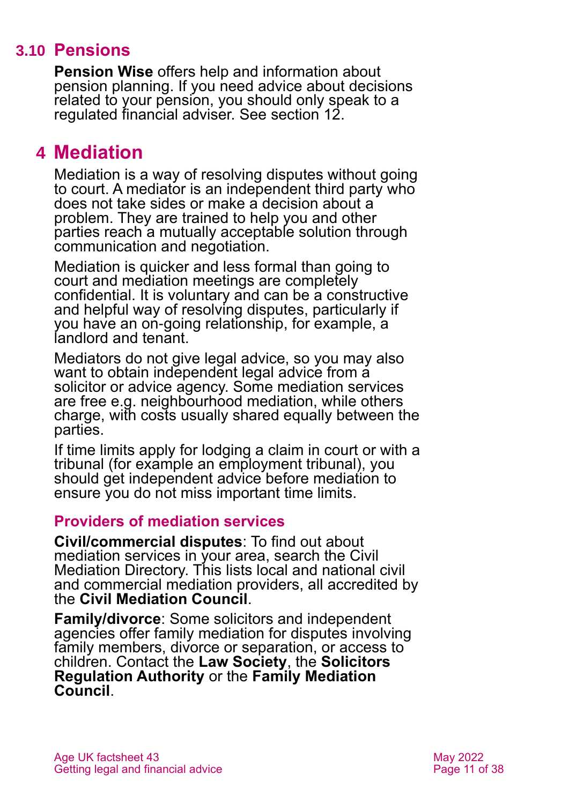## **3.10 Pensions**

**[Pension Wise](https://www.pensionwise.gov.uk/en)** offers help and information about pension planning. If you need advice about decisions related to your pension, you should only speak to a regulated financial adviser. See [section 12.](#page-23-0)

## <span id="page-10-0"></span>**4 Mediation**

Mediation is a way of resolving disputes without going to court. A mediator is an independent third party who does not take sides or make a decision about a problem. They are trained to help you and other parties reach a mutually acceptable solution through communication and negotiation.

Mediation is quicker and less formal than going to court and mediation meetings are completely confidential. It is voluntary and can be a constructive and helpful way of resolving disputes, particularly if you have an on-going relationship, for example, a landlord and tenant.

Mediators do not give legal advice, so you may also want to obtain independent legal advice from a solicitor or advice agency. Some mediation services are free e.g. neighbourhood mediation, while others charge, with costs usually shared equally between the parties.

If time limits apply for lodging a claim in court or with a tribunal (for example an employment tribunal), you should get independent advice before mediation to ensure you do not miss important time limits.

#### **Providers of mediation services**

**Civil/commercial disputes**: To find out about mediation services in your area, search the [Civil](https://civilmediation.org/mediator-search/)  [Mediation Directory.](https://civilmediation.org/mediator-search/) This lists local and national civil and commercial mediation providers, all accredited by the **[Civil Mediation Council](http://www.civilmediation.org/)**.

**Family/divorce**: Some solicitors and independent agencies offer family mediation for disputes involving family members, divorce or separation, or access to children. Contact the **[Law Society](https://www.lawsociety.org.uk/)**, the **[Solicitors](http://www.sra.org.uk/home/home.page)  [Regulation Authority](http://www.sra.org.uk/home/home.page)** or the **[Family Mediation](http://www.familymediationcouncil.org.uk/)  [Council](http://www.familymediationcouncil.org.uk/)**.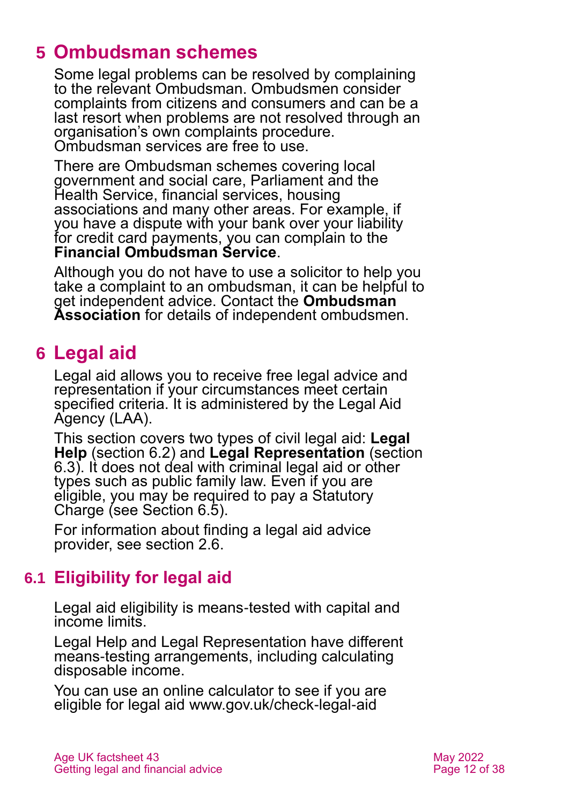## <span id="page-11-0"></span>**5 Ombudsman schemes**

Some legal problems can be resolved by complaining to the relevant Ombudsman. Ombudsmen consider complaints from citizens and consumers and can be a last resort when problems are not resolved through an organisation's own complaints procedure. Ombudsman services are free to use.

There are Ombudsman schemes covering [local](https://www.lgo.org.uk/)  government [and social care,](https://www.lgo.org.uk/) [Parliament](https://www.ombudsman.org.uk/) and the [Health Service,](https://www.ombudsman.org.uk/) [financial services,](https://www.financial-ombudsman.org.uk/) [housing](https://www.housing-ombudsman.org.uk/)  [associations](https://www.housing-ombudsman.org.uk/) and many other areas. For example, if you have a dispute with your bank over your liability for credit card payments, you can complain to the **[Financial Ombudsman](http://www.financial-ombudsman.org.uk/) Service**.

Although you do not have to use a solicitor to help you take a complaint to an ombudsman, it can be helpful to get independent advice. Contact the **[Ombudsman](http://www.ombudsmanassociation.org/)  [Association](http://www.ombudsmanassociation.org/)** for details of independent ombudsmen.

## <span id="page-11-1"></span>**6 Legal aid**

Legal aid allows you to receive free legal advice and representation if your circumstances meet certain specified criteria. It is administered by the Legal Aid Agency (LAA).

This section covers two types of civil legal aid: **Legal Help** [\(section 6.2\)](#page-12-0) and **Legal Representation** [\(section](#page-13-0)  [6.3\)](#page-13-0). It does not deal with criminal legal aid or other types such as public family law. Even if you are eligible, you may be required to pay a Statutory Charge (see [Section 6.5\)](#page-15-0).

For information about finding a legal aid advice provider, [see section 2.6.](#page-4-0)

## **6.1 Eligibility for legal aid**

Legal aid eligibility is means-tested with capital and income limits.

Legal Help and Legal Representation have different means-testing arrangements, including calculating disposable income.

You can use an online calculator to see if you are eligible for legal aid [www.gov.uk/check-legal-aid](http://www.gov.uk/check-legal-aid)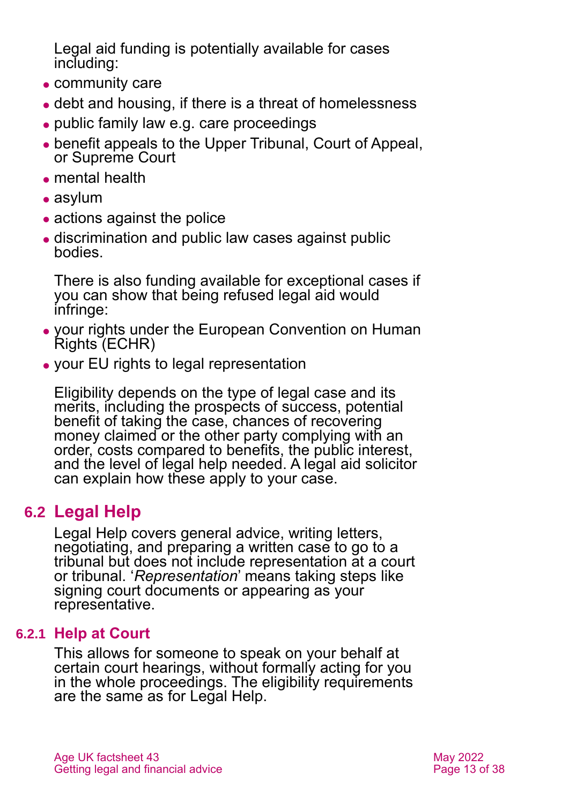Legal aid funding is potentially available for cases including:

- community care
- ⚫ debt and housing, if there is a threat of homelessness
- ⚫ public family law e.g. care proceedings
- ⚫ benefit appeals to the Upper Tribunal, Court of Appeal, or Supreme Court
- ⚫ mental health
- asylum
- actions against the police
- ⚫ discrimination and public law cases against public bodies.

There is also funding available for exceptional cases if you can show that being refused legal aid would infringe:

- ⚫ your rights under the European Convention on Human Rights (ECHR)
- ⚫ your EU rights to legal representation

Eligibility depends on the type of legal case and its merits, including the prospects of success, potential benefit of taking the case, chances of recovering money claimed or the other party complying with an order, costs compared to benefits, the public interest, and the level of legal help needed. A legal aid solicitor can explain how these apply to your case.

## <span id="page-12-0"></span>**6.2 Legal Help**

Legal Help covers general advice, writing letters, negotiating, and preparing a written case to go to a tribunal but does not include representation at a court or tribunal. '*Representation*' means taking steps like signing court documents or appearing as your representative.

#### **6.2.1 Help at Court**

This allows for someone to speak on your behalf at certain court hearings, without formally acting for you in the whole proceedings. The eligibility requirements are the same as for Legal Help.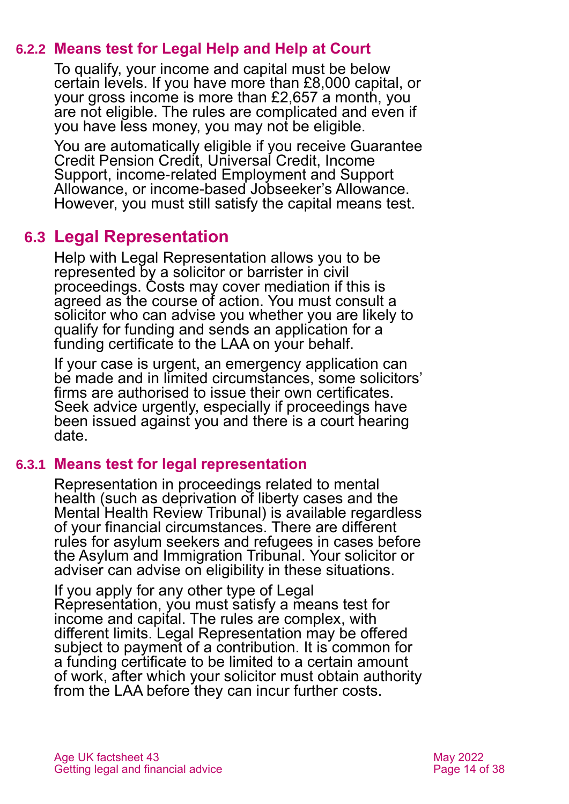#### **6.2.2 Means test for Legal Help and Help at Court**

To qualify, your income and capital must be below certain levels. If you have more than £8,000 capital, or your gross income is more than £2,657 a month, you are not eligible. The rules are complicated and even if you have less money, you may not be eligible.

You are automatically eligible if you receive Guarantee Credit Pension Credit, Universal Credit, Income Support, income-related Employment and Support Allowance, or income-based Jobseeker's Allowance. However, you must still satisfy the capital means test.

### <span id="page-13-0"></span>**6.3 Legal Representation**

Help with Legal Representation allows you to be represented by a solicitor or barrister in civil proceedings. Costs may cover mediation if this is agreed as the course of action. You must consult a solicitor who can advise you whether you are likely to qualify for funding and sends an application for a funding certificate to the LAA on your behalf.

If your case is urgent, an emergency application can be made and in limited circumstances, some solicitors' firms are authorised to issue their own certificates. Seek advice urgently, especially if proceedings have been issued against you and there is a court hearing date.

#### **6.3.1 Means test for legal representation**

Representation in proceedings related to mental health (such as deprivation of liberty cases and the Mental Health Review Tribunal) is available regardless of your financial circumstances. There are different rules for asylum seekers and refugees in cases before the Asylum and Immigration Tribunal. Your solicitor or adviser can advise on eligibility in these situations.

If you apply for any other type of Legal Representation, you must satisfy a means test for income and capital. The rules are complex, with different limits. Legal Representation may be offered subject to payment of a contribution. It is common for a funding certificate to be limited to a certain amount of work, after which your solicitor must obtain authority from the LAA before they can incur further costs.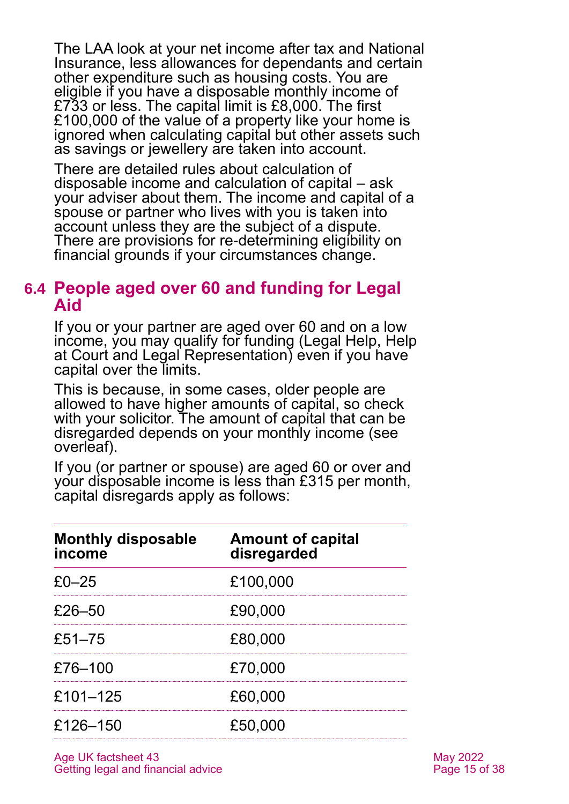The LAA look at your net income after tax and National Insurance, less allowances for dependants and certain other expenditure such as housing costs. You are eligible if you have a disposable monthly income of £733 or less. The capital limit is £8,000. The first £100,000 of the value of a property like your home is ignored when calculating capital but other assets such as savings or jewellery are taken into account.

There are detailed rules about calculation of disposable income and calculation of capital – ask your adviser about them. The income and capital of a spouse or partner who lives with you is taken into account unless they are the subject of a dispute. There are provisions for re-determining eligibility on financial grounds if your circumstances change.

#### **6.4 People aged over 60 and funding for Legal Aid**

If you or your partner are aged over 60 and on a low income, you may qualify for funding (Legal Help, Help at Court and Legal Representation) even if you have capital over the limits.

This is because, in some cases, older people are allowed to have higher amounts of capital, so check with your solicitor. The amount of capital that can be disregarded depends on your monthly income (see overleaf).

If you (or partner or spouse) are aged 60 or over and your disposable income is less than £315 per month, capital disregards apply as follows:

| <b>Monthly disposable</b><br>income | <b>Amount of capital</b><br>disregarded |
|-------------------------------------|-----------------------------------------|
| $£0-25$                             | £100,000                                |
| $£26-50$                            | £90,000                                 |
| £51 $-75$                           | £80,000                                 |
| £76-100                             | £70,000                                 |
| £101-125                            | £60,000                                 |
| £126-150                            | £50,000                                 |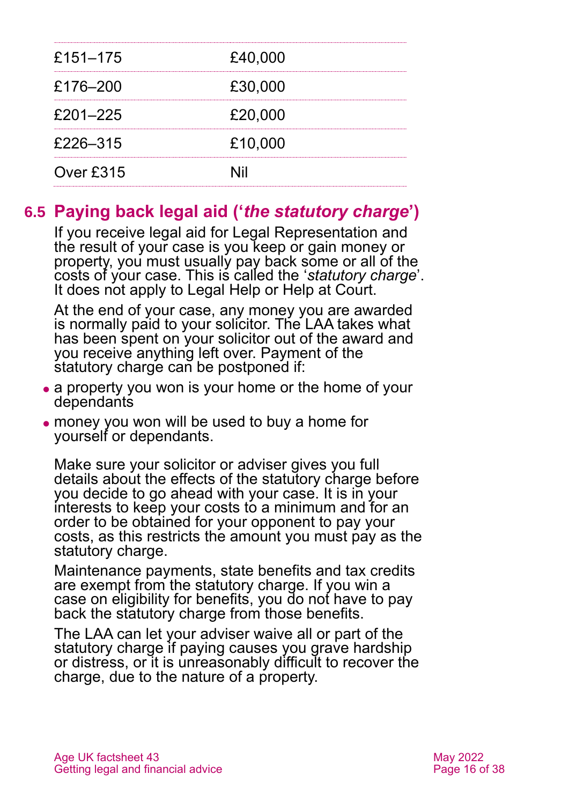| £151–175  | £40,000 |  |
|-----------|---------|--|
| £176-200  | £30,000 |  |
| £201-225  | £20,000 |  |
| £226-315  | £10,000 |  |
| Over £315 | Nil     |  |

## <span id="page-15-0"></span>**6.5 Paying back legal aid ('***the statutory charge***')**

If you receive legal aid for Legal Representation and the result of your case is you keep or gain money or property, you must usually pay back some or all of the costs of your case. This is called the '*statutory charge*'. It does not apply to Legal Help or Help at Court.

At the end of your case, any money you are awarded is normally paid to your solicitor. The LAA takes what has been spent on your solicitor out of the award and you receive anything left over. Payment of the statutory charge can be postponed if:

- a property you won is your home or the home of your dependants
- ⚫ money you won will be used to buy a home for yourself or dependants.

Make sure your solicitor or adviser gives you full details about the effects of the statutory charge before you decide to go ahead with your case. It is in your interests to keep your costs to a minimum and for an order to be obtained for your opponent to pay your costs, as this restricts the amount you must pay as the statutory charge.

Maintenance payments, state benefits and tax credits are exempt from the statutory charge. If you win a case on eligibility for benefits, you do not have to pay back the statutory charge from those benefits.

The LAA can let your adviser waive all or part of the statutory charge if paying causes you grave hardship or distress, or it is unreasonably difficult to recover the charge, due to the nature of a property.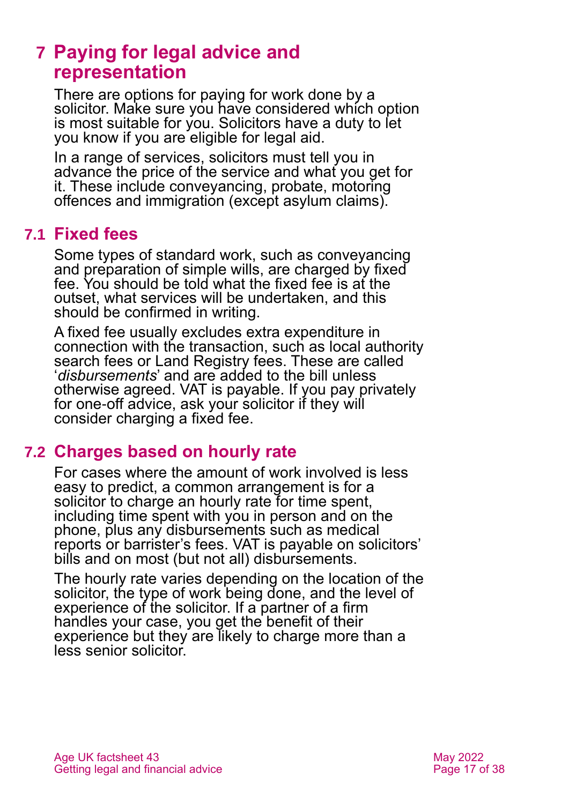## <span id="page-16-0"></span>**7 Paying for legal advice and representation**

There are options for paying for work done by a solicitor. Make sure you have considered which option is most suitable for you. Solicitors have a duty to let you know if you are eligible for legal aid.

In a range of services, solicitors must tell you in advance the price of the service and what you get for it. These include conveyancing, probate, motoring offences and immigration (except asylum claims).

### **7.1 Fixed fees**

Some types of standard work, such as conveyancing and preparation of simple wills, are charged by fixed fee. You should be told what the fixed fee is at the outset, what services will be undertaken, and this should be confirmed in writing.

A fixed fee usually excludes extra expenditure in connection with the transaction, such as local authority search fees or Land Registry fees. These are called '*disbursements*' and are added to the bill unless otherwise agreed. VAT is payable. If you pay privately for one-off advice, ask your solicitor if they will consider charging a fixed fee.

### **7.2 Charges based on hourly rate**

For cases where the amount of work involved is less easy to predict, a common arrangement is for a solicitor to charge an hourly rate for time spent, including time spent with you in person and on the phone, plus any disbursements such as medical reports or barrister's fees. VAT is payable on solicitors' bills and on most (but not all) disbursements.

The hourly rate varies depending on the location of the solicitor, the type of work being done, and the level of experience of the solicitor. If a partner of a firm handles your case, you get the benefit of their experience but they are likely to charge more than a less senior solicitor.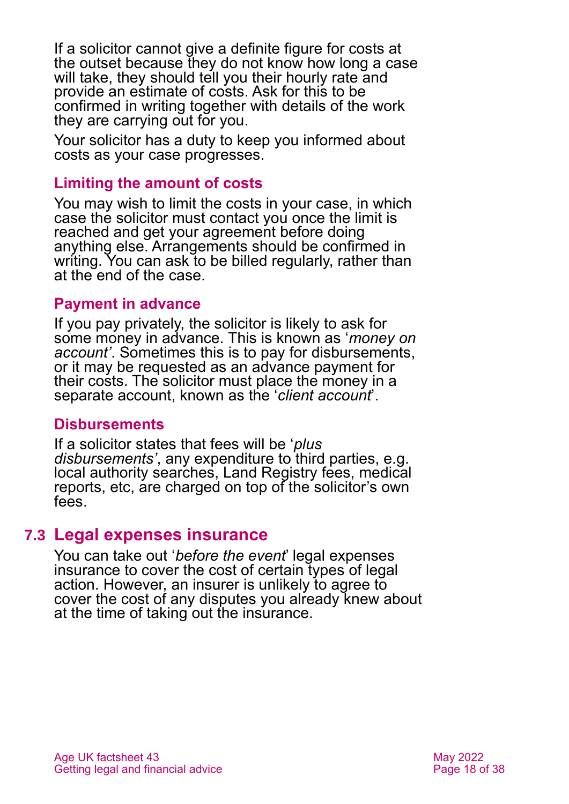If a solicitor cannot give a definite figure for costs at the outset because they do not know how long a case will take, they should tell you their hourly rate and provide an estimate of costs. Ask for this to be confirmed in writing together with details of the work they are carrying out for you.

Your solicitor has a duty to keep you informed about costs as your case progresses.

#### **Limiting the amount of costs**

You may wish to limit the costs in your case, in which case the solicitor must contact you once the limit is reached and get your agreement before doing anything else. Arrangements should be confirmed in writing. You can ask to be billed regularly, rather than at the end of the case.

#### **Payment in advance**

If you pay privately, the solicitor is likely to ask for some money in advance. This is known as '*money on account'*. Sometimes this is to pay for disbursements, or it may be requested as an advance payment for their costs. The solicitor must place the money in a separate account, known as the '*client account*'.

#### **Disbursements**

If a solicitor states that fees will be '*plus disbursements'*, any expenditure to third parties, e.g. local authority searches, Land Registry fees, medical reports, etc, are charged on top of the solicitor's own fees.

#### **7.3 Legal expenses insurance**

You can take out '*before the event*' legal expenses insurance to cover the cost of certain types of legal action. However, an insurer is unlikely to agree to cover the cost of any disputes you already knew about at the time of taking out the insurance.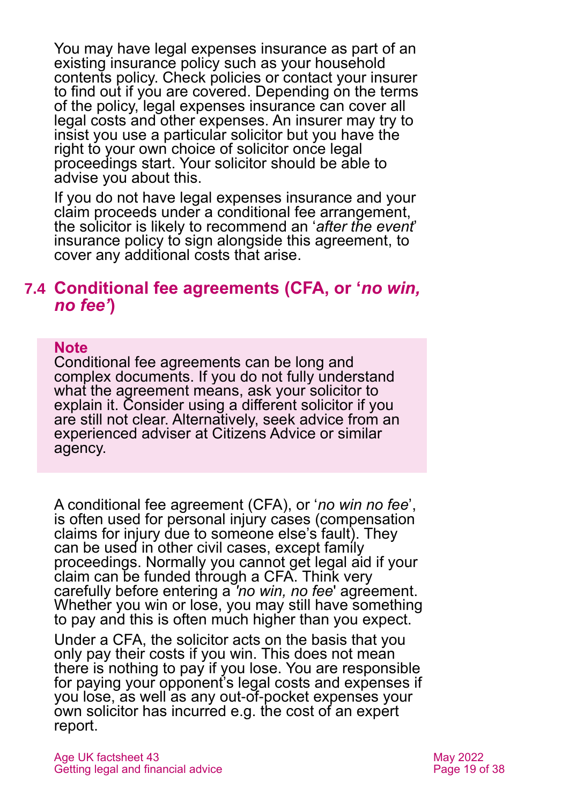You may have legal expenses insurance as part of an existing insurance policy such as your household contents policy. Check policies or contact your insurer to find out if you are covered. Depending on the terms of the policy, legal expenses insurance can cover all legal costs and other expenses. An insurer may try to insist you use a particular solicitor but you have the right to your own choice of solicitor once legal proceedings start. Your solicitor should be able to advise you about this.

If you do not have legal expenses insurance and your claim proceeds under a conditional fee arrangement, the solicitor is likely to recommend an '*after the event*' insurance policy to sign alongside this agreement, to cover any additional costs that arise.

#### **7.4 Conditional fee agreements (CFA, or '***no win, no fee'***)**

#### **Note**

Conditional fee agreements can be long and complex documents. If you do not fully understand what the agreement means, ask your solicitor to explain it. Consider using a different solicitor if you are still not clear. Alternatively, seek advice from an experienced adviser at Citizens Advice or similar agency.

A conditional fee agreement (CFA), or '*no win no fee*', is often used for personal injury cases (compensation claims for injury due to someone else's fault). They can be used in other civil cases, except family proceedings. Normally you cannot get legal aid if your claim can be funded through a CFA. Think very carefully before entering a *'no win, no fee'* agreement. Whether you win or lose, you may still have something to pay and this is often much higher than you expect.

Under a CFA, the solicitor acts on the basis that you only pay their costs if you win. This does not mean there is nothing to pay if you lose. You are responsible for paying your opponent's legal costs and expenses if you lose, as well as any out-of-pocket expenses your own solicitor has incurred e.g. the cost of an expert report.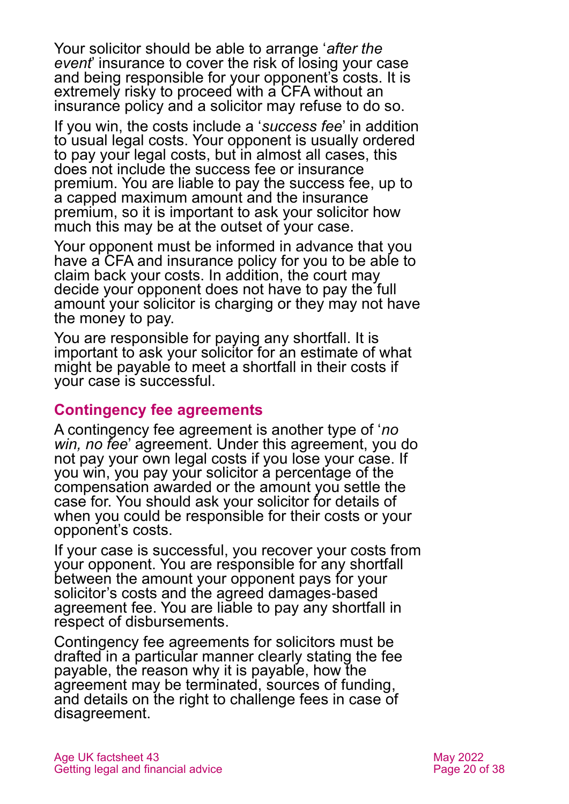Your solicitor should be able to arrange '*after the event*' insurance to cover the risk of losing your case and being responsible for your opponent's costs. It is extremely risky to proceed with a CFA without an insurance policy and a solicitor may refuse to do so.

If you win, the costs include a '*success fee*' in addition to usual legal costs. Your opponent is usually ordered to pay your legal costs, but in almost all cases, this does not include the success fee or insurance premium. You are liable to pay the success fee, up to a capped maximum amount and the insurance premium, so it is important to ask your solicitor how much this may be at the outset of your case.

Your opponent must be informed in advance that you have a CFA and insurance policy for you to be able to claim back your costs. In addition, the court may decide your opponent does not have to pay the full amount your solicitor is charging or they may not have the money to pay.

You are responsible for paying any shortfall. It is important to ask your solicitor for an estimate of what might be payable to meet a shortfall in their costs if your case is successful.

#### **Contingency fee agreements**

A contingency fee agreement is another type of '*no win, no fee*' agreement. Under this agreement, you do not pay your own legal costs if you lose your case. If you win, you pay your solicitor a percentage of the compensation awarded or the amount you settle the case for. You should ask your solicitor for details of when you could be responsible for their costs or your opponent's costs.

If your case is successful, you recover your costs from your opponent. You are responsible for any shortfall between the amount your opponent pays for your solicitor's costs and the agreed damages-based agreement fee. You are liable to pay any shortfall in respect of disbursements.

Contingency fee agreements for solicitors must be drafted in a particular manner clearly stating the fee payable, the reason why it is payable, how the agreement may be terminated, sources of funding, and details on the right to challenge fees in case of disagreement.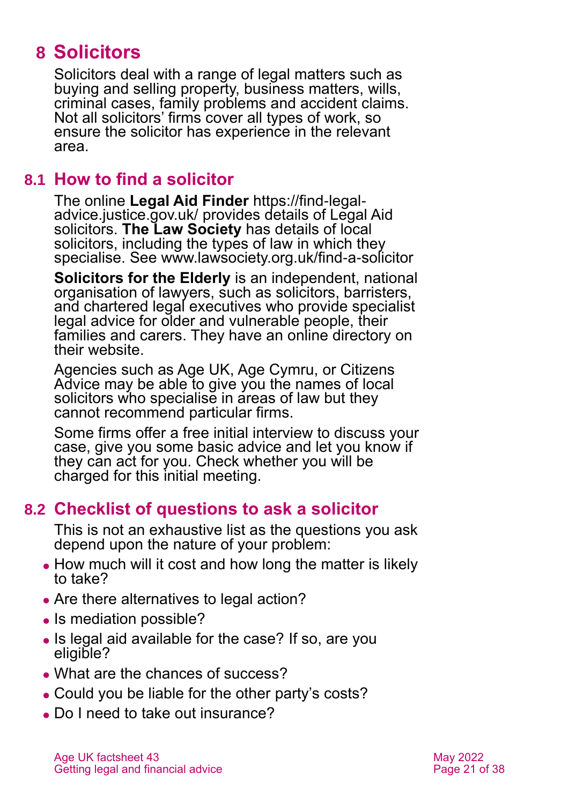## <span id="page-20-0"></span>**8 Solicitors**

Solicitors deal with a range of legal matters such as buying and selling property, business matters, wills, criminal cases, family problems and accident claims. Not all solicitors' firms cover all types of work, so ensure the solicitor has experience in the relevant area.

### **8.1 How to find a solicitor**

The online **Legal Aid Finder** [https://find-legal](https://find-legal-advice.justice.gov.uk/)[advice.justice.gov.uk/](https://find-legal-advice.justice.gov.uk/) provides details of Legal Aid solicitors. **The Law Society** has details of local solicitors, including the types of law in which they specialise. See [www.lawsociety.org.uk/find-a-solicitor](http://www.lawsociety.org.uk/find-a-solicitor) 

**[Solicitors for the Elderly](http://www.sfe.legal/)** is an independent, national organisation of lawyers, such as solicitors, barristers, and chartered legal executives who provide specialist legal advice for older and vulnerable people, their families and carers. They have an online directory on their website.

Agencies such as [Age UK,](http://www.ageuk.org.uk/) Age Cymru, or Citizens Advice may be able to give you the names of local solicitors who specialise in areas of law but they cannot recommend particular firms.

Some firms offer a free initial interview to discuss your case, give you some basic advice and let you know if they can act for you. Check whether you will be charged for this initial meeting.

## **8.2 Checklist of questions to ask a solicitor**

This is not an exhaustive list as the questions you ask depend upon the nature of your problem:

- How much will it cost and how long the matter is likely to take?
- Are there alternatives to legal action?
- Is mediation possible?
- ⚫ Is legal aid available for the case? If so, are you eligible?
- What are the chances of success?
- Could you be liable for the other party's costs?
- Do I need to take out insurance?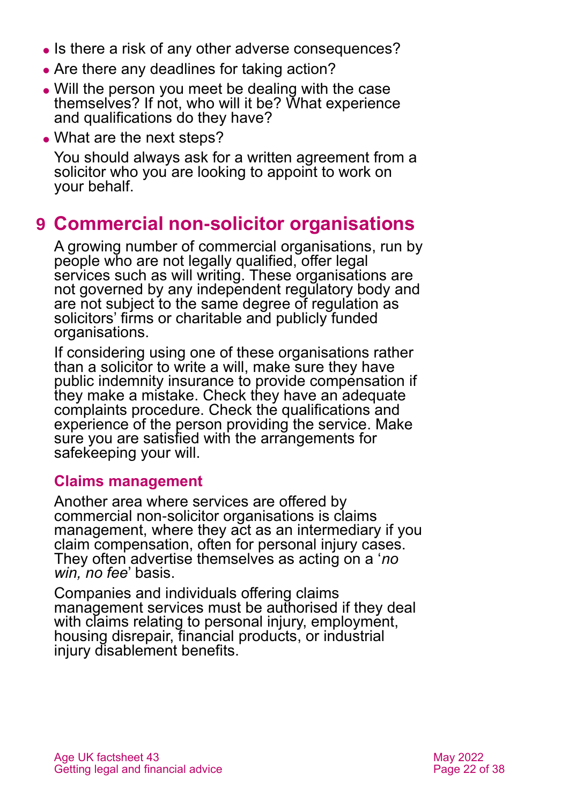- Is there a risk of any other adverse consequences?
- Are there any deadlines for taking action?
- ⚫ Will the person you meet be dealing with the case themselves? If not, who will it be? What experience and qualifications do they have?
- What are the next steps?

You should always ask for a written agreement from a solicitor who you are looking to appoint to work on your behalf.

## <span id="page-21-0"></span>**9 Commercial non-solicitor organisations**

A growing number of commercial organisations, run by people who are not legally qualified, offer legal services such as will writing. These organisations are not governed by any independent regulatory body and are not subject to the same degree of regulation as solicitors' firms or charitable and publicly funded organisations.

If considering using one of these organisations rather than a solicitor to write a will, make sure they have public indemnity insurance to provide compensation if they make a mistake. Check they have an adequate complaints procedure. Check the qualifications and experience of the person providing the service. Make sure you are satisfied with the arrangements for safekeeping your will.

#### **Claims management**

Another area where services are offered by commercial non-solicitor organisations is claims management, where they act as an intermediary if you claim compensation, often for personal injury cases. They often advertise themselves as acting on a '*no win, no fee*' basis.

Companies and individuals offering claims management services must be authorised if they deal with claims relating to personal injury, employment, housing disrepair, financial products, or industrial injury disablement benefits.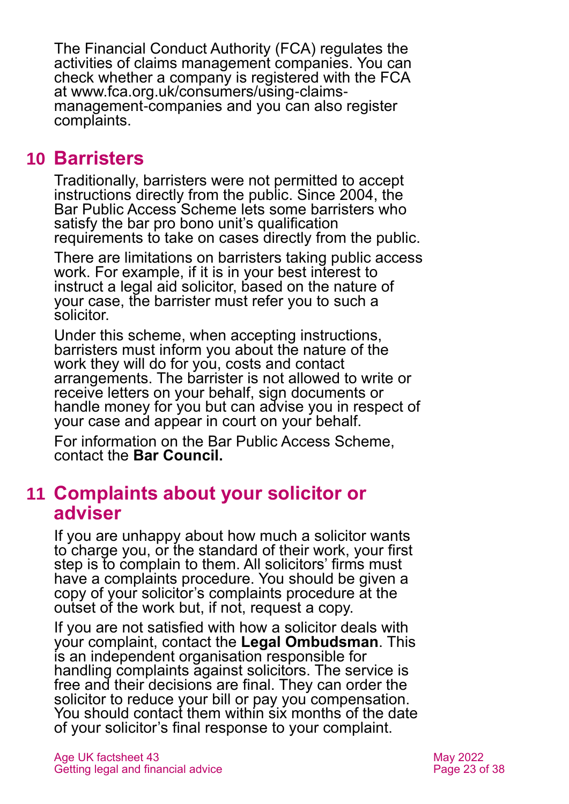The Financial Conduct Authority (FCA) regulates the activities of claims management companies. You can check whether a company is registered with the FCA at [www.fca.org.uk/consumers/using-claims](http://www.fca.org.uk/consumers/using-claims-management-companies)[management-companies](http://www.fca.org.uk/consumers/using-claims-management-companies) and you can also register complaints.

## <span id="page-22-0"></span>**10 Barristers**

Traditionally, barristers were not permitted to accept instructions directly from the public. Since 2004, the Bar Public Access Scheme lets some barristers who satisfy the bar pro bono unit's qualification requirements to take on cases directly from the public.

There are limitations on barristers taking public access work. For example, if it is in your best interest to instruct a legal aid solicitor, based on the nature of your case, the barrister must refer you to such a solicitor.

Under this scheme, when accepting instructions, barristers must inform you about the nature of the work they will do for you, costs and contact arrangements. The barrister is not allowed to write or receive letters on your behalf, sign documents or handle money for you but can advise you in respect of your case and appear in court on your behalf.

<span id="page-22-1"></span>For information on the Bar Public Access Scheme, contact the **[Bar Council.](http://www.barcouncil.org.uk/)**

## **11 Complaints about your solicitor or adviser**

If you are unhappy about how much a solicitor wants to charge you, or the standard of their work, your first step is to complain to them. All solicitors' firms must have a complaints procedure. You should be given a copy of your solicitor's complaints procedure at the outset of the work but, if not, request a copy.

If you are not satisfied with how a solicitor deals with your complaint, contact the **[Legal Ombudsman](http://www.legalombudsman.org.uk/)**. This is an independent organisation responsible for handling complaints against solicitors. The service is free and their decisions are final. They can order the solicitor to reduce your bill or pay you compensation. You should contact them within six months of the date of your solicitor's final response to your complaint.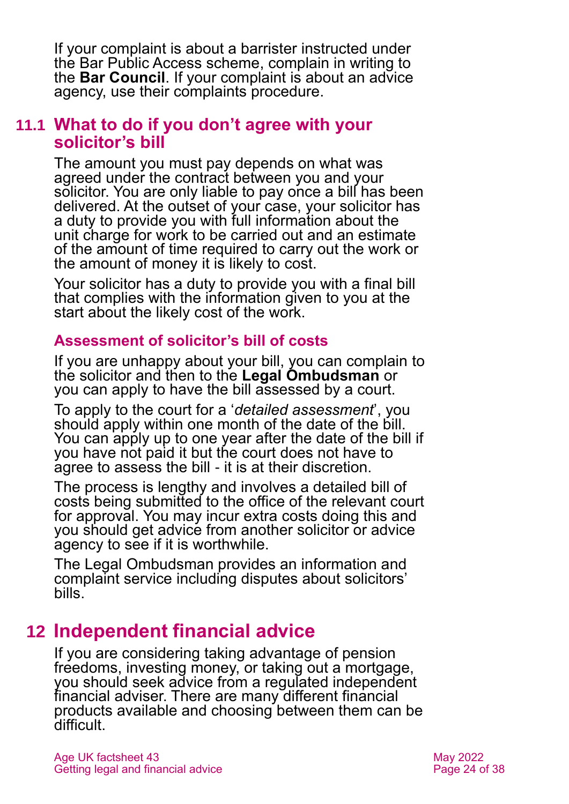If your complaint is about a barrister instructed under the Bar Public Access scheme, complain in writing to the **[Bar Council](http://www.barcouncil.org.uk/)**. If your complaint is about an advice agency, use their complaints procedure.

#### **11.1 What to do if you don't agree with your solicitor's bill**

The amount you must pay depends on what was agreed under the contract between you and your solicitor. You are only liable to pay once a bill has been delivered. At the outset of your case, your solicitor has a duty to provide you with full information about the unit charge for work to be carried out and an estimate of the amount of time required to carry out the work or the amount of money it is likely to cost.

Your solicitor has a duty to provide you with a final bill that complies with the information given to you at the start about the likely cost of the work.

#### **Assessment of solicitor's bill of costs**

If you are unhappy about your bill, you can complain to the solicitor and then to the **[Legal Ombudsman](http://www.legalombudsman.org.uk/)** or you can apply to have the bill assessed by a court.

To apply to the court for a '*detailed assessment*', you should apply within one month of the date of the bill. You can apply up to one year after the date of the bill if you have not paid it but the court does not have to agree to assess the bill - it is at their discretion.

The process is lengthy and involves a detailed bill of costs being submitted to the office of the relevant court for approval. You may incur extra costs doing this and you should get advice from another solicitor or advice agency to see if it is worthwhile.

The Legal Ombudsman provides an information and complaint service including disputes about solicitors' bills.

## <span id="page-23-0"></span>**12 Independent financial advice**

If you are considering taking advantage of pension freedoms, investing money, or taking out a mortgage, you should seek advice from a regulated independent financial adviser. There are many different financial products available and choosing between them can be difficult.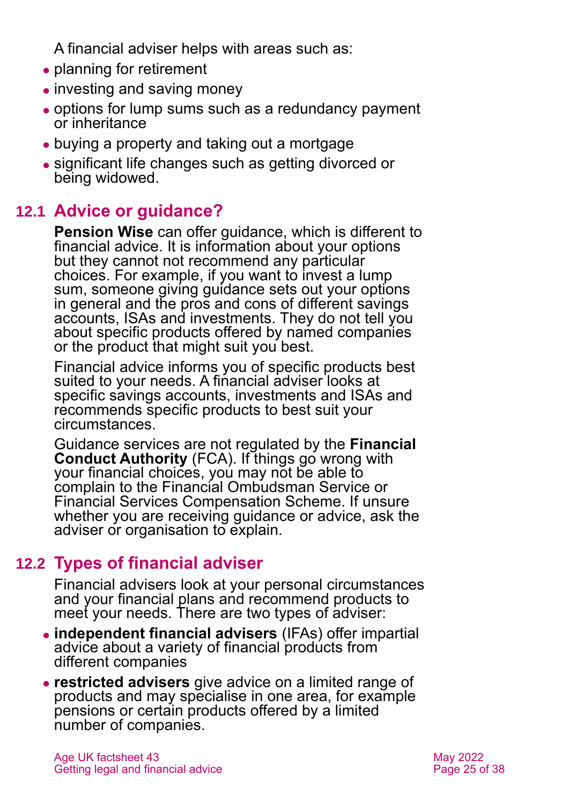A financial adviser helps with areas such as:

- planning for retirement
- investing and saving money
- ⚫ options for lump sums such as a redundancy payment or inheritance
- buying a property and taking out a mortgage
- ⚫ significant life changes such as getting divorced or being widowed.

## **12.1 Advice or guidance?**

**[Pension Wise](https://www.pensionwise.gov.uk/)** can offer guidance, which is different to financial advice. It is information about your options but they cannot not recommend any particular choices. For example, if you want to invest a lump sum, someone giving guidance sets out your options in general and the pros and cons of different savings accounts, ISAs and investments. They do not tell you about specific products offered by named companies or the product that might suit you best.

Financial advice informs you of specific products best suited to your needs. A financial adviser looks at specific savings accounts, investments and ISAs and recommends specific products to best suit your circumstances.

Guidance services are not regulated by the **[Financial](https://www.fca.org.uk/)  [Conduct Authority](https://www.fca.org.uk/)** (FCA). If things go wrong with your financial choices, you may not be able to complain to the Financial Ombudsman Service or Financial Services Compensation Scheme. If unsure whether you are receiving guidance or advice, ask the adviser or organisation to explain.

## **12.2 Types of financial adviser**

Financial advisers look at your personal circumstances and your financial plans and recommend products to meet your needs. There are two types of adviser:

- ⚫ **independent financial advisers** (IFAs) offer impartial advice about a variety of financial products from different companies
- ⚫ **restricted advisers** give advice on a limited range of products and may specialise in one area, for example pensions or certain products offered by a limited number of companies.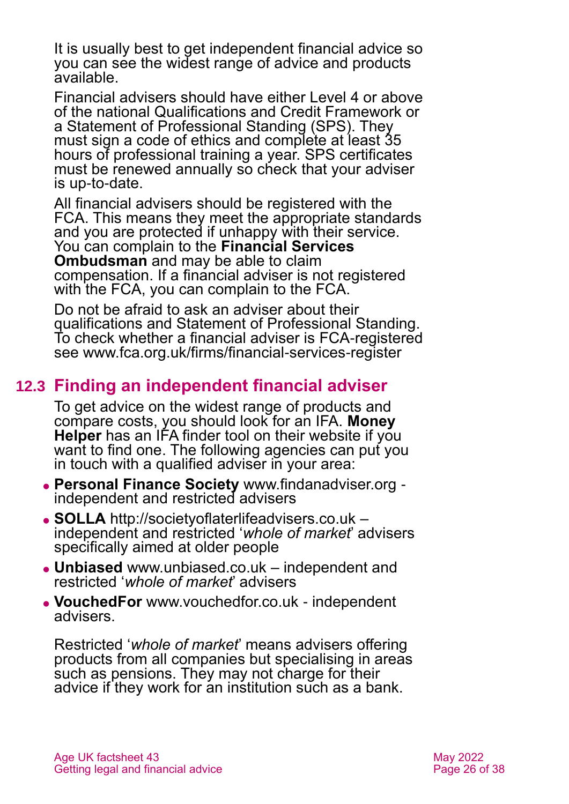It is usually best to get independent financial advice so you can see the widest range of advice and products available.

Financial advisers should have either Level 4 or above of the national Qualifications and Credit Framework or a Statement of Professional Standing (SPS). They must sign a code of ethics and complete at least 35 hours of professional training a year. SPS certificates must be renewed annually so check that your adviser is up-to-date.

All financial advisers should be registered with the FCA. This means they meet the appropriate standards and you are protected if unhappy with their service. You can complain to the **[Financial Services](http://www.financial-ombudsman.org.uk/)  [Ombudsman](http://www.financial-ombudsman.org.uk/)** and may be able to claim compensation. If a financial adviser is not registered with the FCA, you can complain to the FCA.

Do not be afraid to ask an adviser about their qualifications and Statement of Professional Standing. To check whether a financial adviser is FCA-registered see [www.fca.org.uk/firms/financial-services-register](http://www.fca.org.uk/firms/financial-services-register)

## **12.3 Finding an independent financial adviser**

To get advice on the widest range of products and compare costs, you should look for an IFA. **[Money](https://www.moneyhelper.org.uk/en/getting-help-and-advice/financial-advisers/choosing-a-financial-adviser?source=mas)  [Helper](https://www.moneyhelper.org.uk/en/getting-help-and-advice/financial-advisers/choosing-a-financial-adviser?source=mas)** has an IFA finder tool on their website if you want to find one. The following agencies can put you in touch with a qualified adviser in your area:

- ⚫ **Personal Finance Society** [www.findanadviser.org](http://www.findanadviser.org/) independent and restricted advisers
- ⚫ **SOLLA** [http://societyoflaterlifeadvisers.co.uk](http://societyoflaterlifeadvisers.co.uk/) independent and restricted '*whole of market*' advisers specifically aimed at older people
- ⚫ **Unbiased** [www.unbiased.co.uk](http://www.unbiased.co.uk/) independent and restricted '*whole of market*' advisers
- ⚫ **VouchedFor** [www.vouchedfor.co.uk](http://www.vouchedfor.co.uk/) independent advisers.

Restricted '*whole of market*' means advisers offering products from all companies but specialising in areas such as pensions. They may not charge for their advice if they work for an institution such as a bank.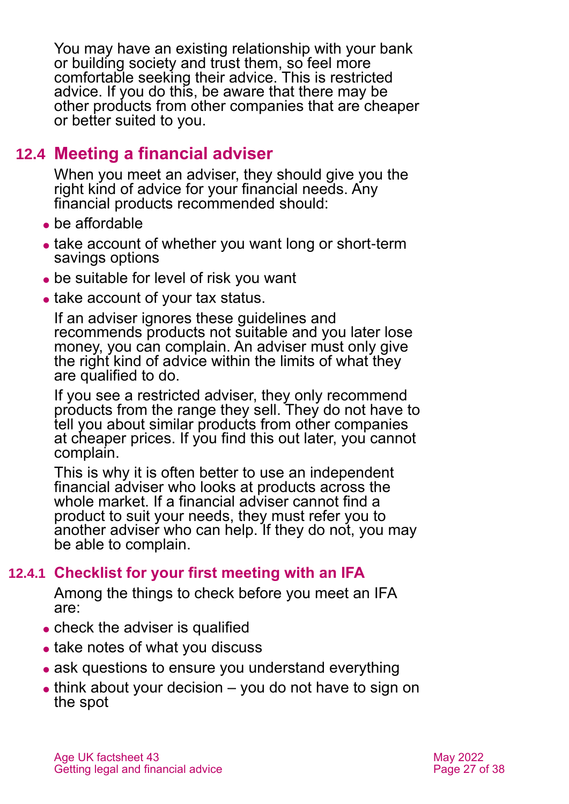You may have an existing relationship with your bank or building society and trust them, so feel more comfortable seeking their advice. This is restricted advice. If you do this, be aware that there may be other products from other companies that are cheaper or better suited to you.

## **12.4 Meeting a financial adviser**

When you meet an adviser, they should give you the right kind of advice for your financial needs. Any financial products recommended should:

- be affordable
- take account of whether you want long or short-term savings options
- be suitable for level of risk you want
- take account of your tax status.

If an adviser ignores these guidelines and recommends products not suitable and you later lose money, you can complain. An adviser must only give the right kind of advice within the limits of what they are qualified to do.

If you see a restricted adviser, they only recommend products from the range they sell. They do not have to tell you about similar products from other companies at cheaper prices. If you find this out later, you cannot complain.

This is why it is often better to use an independent financial adviser who looks at products across the whole market. If a financial adviser cannot find a product to suit your needs, they must refer you to another adviser who can help. If they do not, you may be able to complain.

#### **12.4.1 Checklist for your first meeting with an IFA**

Among the things to check before you meet an IFA are:

- check the adviser is qualified
- take notes of what you discuss
- ask questions to ensure you understand everything
- $\bullet$  think about your decision  $-$  you do not have to sign on the spot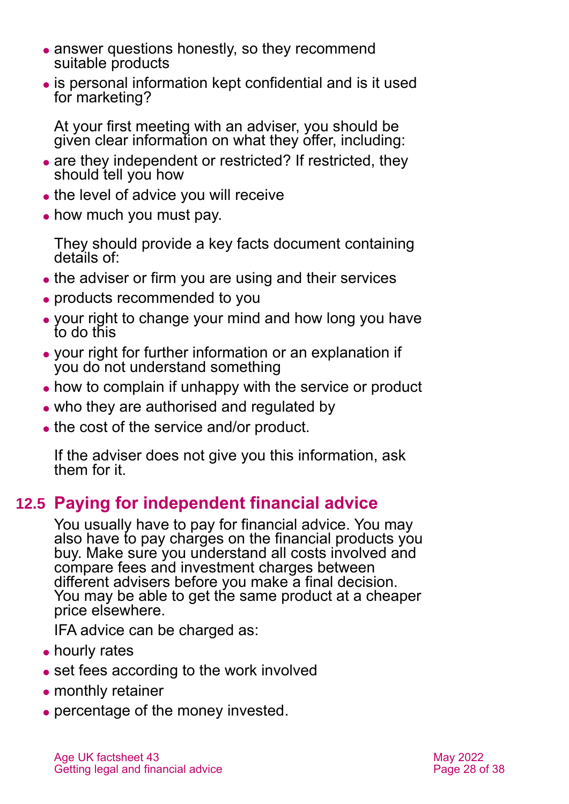- answer questions honestly, so they recommend suitable products
- ⚫ is personal information kept confidential and is it used for marketing?

At your first meeting with an adviser, you should be given clear information on what they offer, including:

- are they independent or restricted? If restricted, they should tell you how
- the level of advice you will receive
- how much you must pay.

They should provide a key facts document containing details of:

- the adviser or firm you are using and their services
- ⚫ products recommended to you
- ⚫ your right to change your mind and how long you have to do this
- ⚫ your right for further information or an explanation if you do not understand something
- how to complain if unhappy with the service or product
- who they are authorised and regulated by
- the cost of the service and/or product.

If the adviser does not give you this information, ask them for it.

## **12.5 Paying for independent financial advice**

You usually have to pay for financial advice. You may also have to pay charges on the financial products you buy. Make sure you understand all costs involved and compare fees and investment charges between different advisers before you make a final decision. You may be able to get the same product at a cheaper price elsewhere.

IFA advice can be charged as:

- hourly rates
- set fees according to the work involved
- monthly retainer
- percentage of the money invested.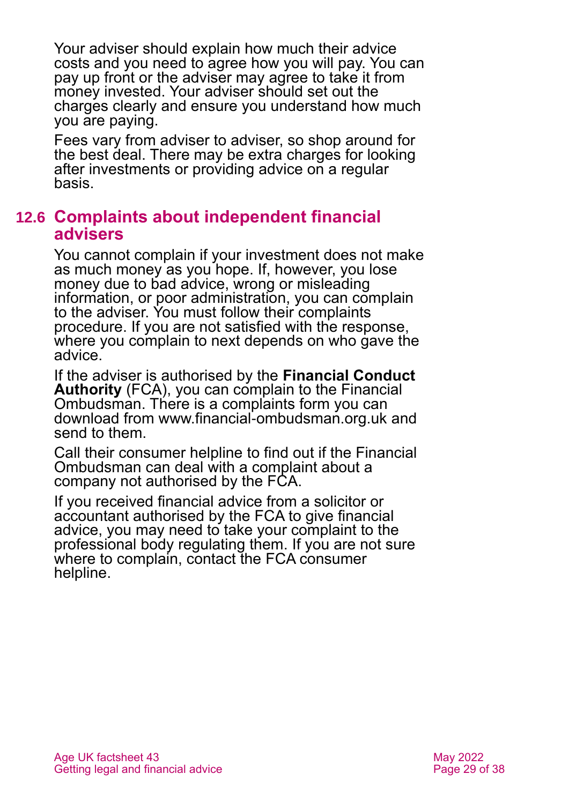Your adviser should explain how much their advice costs and you need to agree how you will pay. You can pay up front or the adviser may agree to take it from money invested. Your adviser should set out the charges clearly and ensure you understand how much you are paying.

Fees vary from adviser to adviser, so shop around for the best deal. There may be extra charges for looking after investments or providing advice on a regular basis.

#### **12.6 Complaints about independent financial advisers**

You cannot complain if your investment does not make as much money as you hope. If, however, you lose money due to bad advice, wrong or misleading information, or poor administration, you can complain to the adviser. You must follow their complaints procedure. If you are not satisfied with the response, where you complain to next depends on who gave the advice.

If the adviser is authorised by the **[Financial Conduct](https://www.fca.org.uk/)  [Authority](https://www.fca.org.uk/)** (FCA), you can complain to the Financial Ombudsman. There is a complaints form you can download from [www.financial-ombudsman.org.uk](http://www.financial-ombudsman.org.uk/) and send to them.

Call their consumer helpline to find out if the Financial Ombudsman can deal with a complaint about a company not authorised by the FCA.

If you received financial advice from a solicitor or accountant authorised by the FCA to give financial advice, you may need to take your complaint to the professional body regulating them. If you are not sure where to complain, contact the [FCA consumer](#page-31-0)  [helpline.](#page-31-0)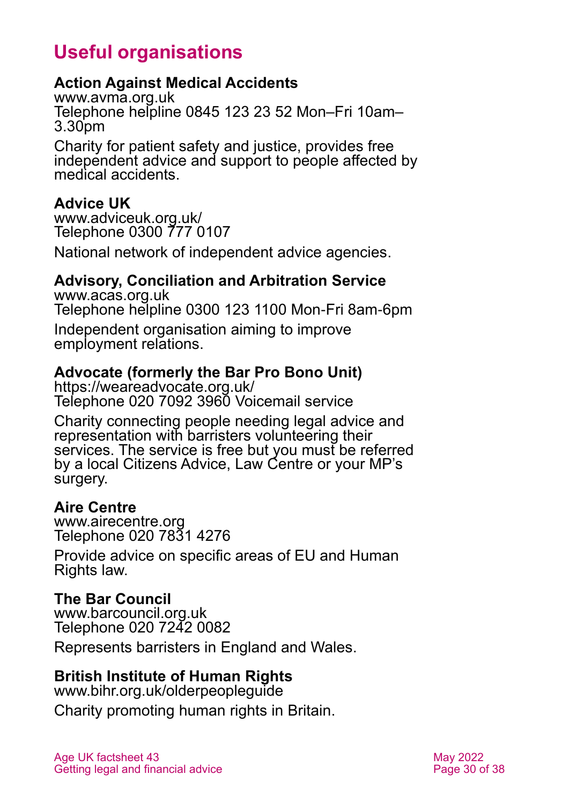## **Useful organisations**

#### <span id="page-29-0"></span>**Action Against Medical Accidents**

[www.avma.org.uk](http://www.avma.org.uk/) Telephone helpline 0845 123 23 52 Mon–Fri 10am– 3.30pm

Charity for patient safety and justice, provides free independent advice and support to people affected by medical accidents.

#### **Advice UK**

[www.adviceuk.org.uk/](http://www.adviceuk.org.uk/) Telephone 0300 777 0107

National network of independent advice agencies.

#### **Advisory, Conciliation and Arbitration Service**

[www.acas.org.uk](http://www.acas.org.uk/) Telephone helpline 0300 123 1100 Mon-Fri 8am-6pm Independent organisation aiming to improve employment relations.

#### **Advocate (formerly the Bar Pro Bono Unit)**

<https://weareadvocate.org.uk/> Telephone 020 7092 3960 Voicemail service

Charity connecting people needing legal advice and representation with barristers volunteering their services. The service is free but you must be referred by a local Citizens Advice, Law Centre or your MP's surgery.

#### **Aire Centre**

[www.airecentre.org](http://www.airecentre.org/) Telephone 020 7831 4276

Provide advice on specific areas of EU and Human Rights law.

#### **The Bar Council**

[www.barcouncil.org.uk](http://www.barcouncil.org.uk/) Telephone 020 7242 0082

Represents barristers in England and Wales.

#### **British Institute of Human Rights**

[www.bihr.org.uk/olderpeopleguide](http://www.bihr.org.uk/olderpeopleguide) Charity promoting human rights in Britain.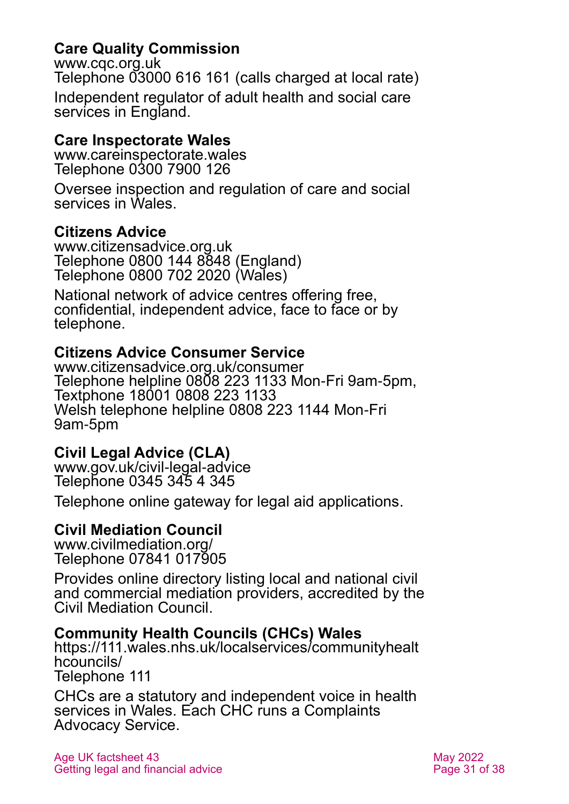#### **Care Quality Commission**

[www.cqc.org.uk](http://www.cqc.org.uk/) Telephone 03000 616 161 (calls charged at local rate) Independent regulator of adult health and social care services in England.

#### **Care Inspectorate Wales**

[www.careinspectorate.wales](http://www.careinspectorate.wales/) Telephone 0300 7900 126

Oversee inspection and regulation of care and social services in Wales.

#### **Citizens Advice**

[www.citizensadvice.org.uk](http://www.citizensadvice.org.uk/) Telephone 0800 144 8848 (England) Telephone 0800 702 2020 (Wales)

National network of advice centres offering free, confidential, independent advice, face to face or by telephone.

#### **Citizens Advice Consumer Service**

[www.citizensadvice.org.uk/consumer](http://www.citizensadvice.org.uk/consumer) Telephone helpline 0808 223 1133 Mon-Fri 9am-5pm, Textphone 18001 0808 223 1133 Welsh telephone helpline 0808 223 1144 Mon-Fri 9am-5pm

#### **Civil Legal Advice (CLA)**

[www.gov.uk/civil-legal-advice](http://www.gov.uk/civil-legal-advice) Telephone 0345 345 4 345

Telephone online gateway for legal aid applications.

#### **Civil Mediation Council**

[www.civilmediation.org/](http://www.civilmediation.org/) Telephone 07841 017905

Provides online directory listing local and national civil and commercial mediation providers, accredited by the Civil Mediation Council.

#### **Community Health Councils (CHCs) Wales**

[https://111.wales.nhs.uk/localservices/communityhealt](https://111.wales.nhs.uk/localservices/communityhealthcouncils/) [hcouncils/](https://111.wales.nhs.uk/localservices/communityhealthcouncils/) Telephone 111

CHCs are a statutory and independent voice in health services in Wales. Each CHC runs a Complaints Advocacy Service.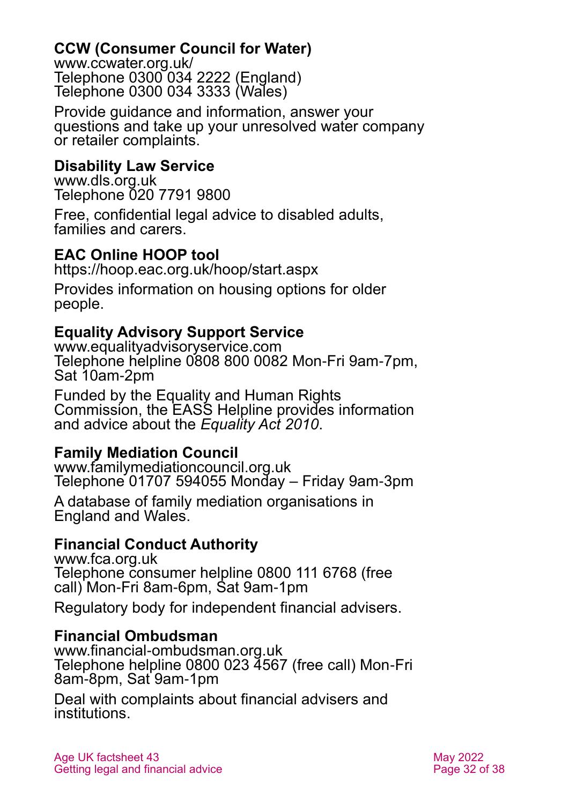#### **CCW (Consumer Council for Water)**

[www.ccwater.org.uk/](http://www.ccwater.org.uk/) Telephone 0300 034 2222 (England) Telephone 0300 034 3333 (Wales)

Provide guidance and information, answer your questions and take up your unresolved water company or retailer complaints.

#### **Disability Law Service**

[www.dls.org.uk](http://www.dls.org.uk/) Telephone 020 7791 9800

Free, confidential legal advice to disabled adults, families and carers.

#### **EAC Online HOOP tool**

<https://hoop.eac.org.uk/hoop/start.aspx>

Provides information on housing options for older people.

#### **Equality Advisory Support Service**

[www.equalityadvisoryservice.com](http://www.equalityadvisoryservice.com/) Telephone helpline 0808 800 0082 Mon-Fri 9am-7pm, Sat 10am-2pm

Funded by the Equality and Human Rights Commission, the EASS Helpline provides information and advice about the *Equality Act 2010*.

#### **Family Mediation Council**

[www.familymediationcouncil.org.uk](http://www.familymediationcouncil.org.uk/) Telephone 01707 594055 Monday – Friday 9am-3pm

A database of family mediation organisations in England and Wales.

#### <span id="page-31-0"></span>**Financial Conduct Authority**

[www.fca.org.uk](https://www.fca.org.uk/)  Telephone consumer helpline 0800 111 6768 (free call) Mon-Fri 8am-6pm, Sat 9am-1pm

Regulatory body for independent financial advisers.

#### **Financial Ombudsman**

[www.financial-ombudsman.org.uk](http://www.financial-ombudsman.org.uk/) Telephone helpline 0800 023 4567 (free call) Mon-Fri 8am-8pm, Sat 9am-1pm

Deal with complaints about financial advisers and institutions.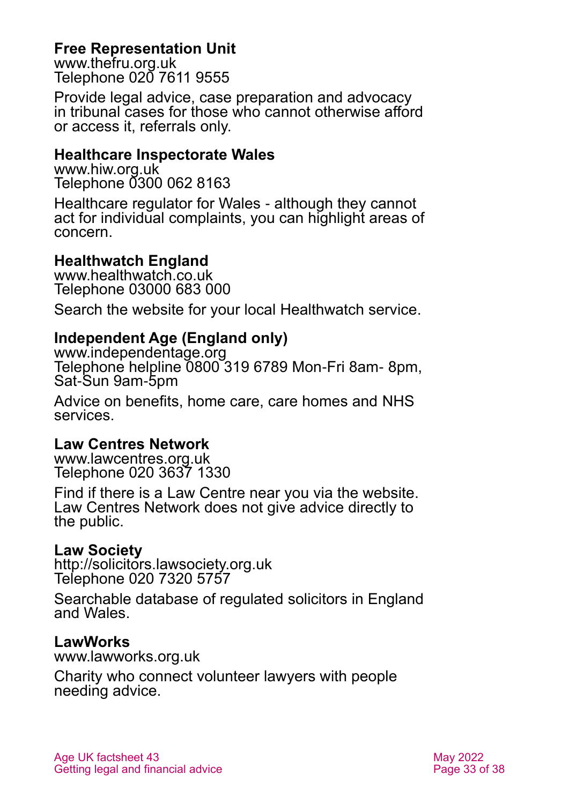#### **Free Representation Unit**

[www.thefru.org.uk](http://www.thefru.org.uk/) Telephone 020 7611 9555

Provide legal advice, case preparation and advocacy in tribunal cases for those who cannot otherwise afford or access it, referrals only.

#### **Healthcare Inspectorate Wales**

[www.hiw.org.uk](http://www.hiw.org.uk/) Telephone 0300 062 8163

Healthcare regulator for Wales - although they cannot act for individual complaints, you can highlight areas of concern.

#### **Healthwatch England**

[www.healthwatch.co.uk](http://www.healthwatch.co.uk/) Telephone 03000 683 000

Search the website for your local Healthwatch service.

#### **Independent Age (England only)**

[www.independentage.org](http://www.independentage.org/) Telephone helpline 0800 319 6789 Mon-Fri 8am- 8pm, Sat-Sun 9am-5pm

Advice on benefits, home care, care homes and NHS services.

#### **Law Centres Network**

[www.lawcentres.org.uk](http://www.lawcentres.org.uk/) Telephone 020 3637 1330

Find if there is a Law Centre near you via the website. Law Centres Network does not give advice directly to the public.

#### **Law Society**

[http://solicitors.lawsociety.org.uk](http://solicitors.lawsociety.org.uk/) Telephone 020 7320 5757

Searchable database of regulated solicitors in England and Wales.

#### **LawWorks**

[www.lawworks.org.uk](http://www.lawworks.org.uk/)

Charity who connect volunteer lawyers with people needing advice.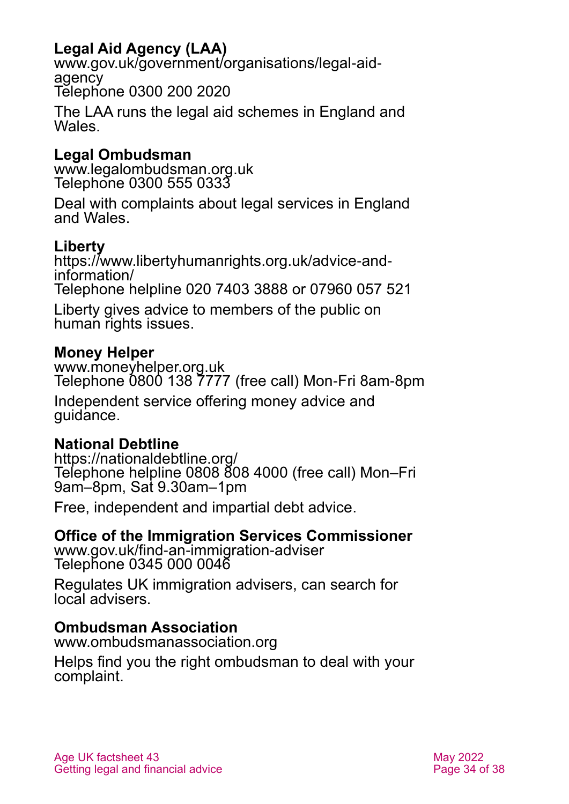## **Legal Aid Agency (LAA)**

[www.gov.uk/government/organisations/legal-aid](http://www.gov.uk/government/organisations/legal-aid-agency)[agency](http://www.gov.uk/government/organisations/legal-aid-agency) Telephone 0300 200 2020

The LAA runs the legal aid schemes in England and Wales.

#### **Legal Ombudsman**

[www.legalombudsman.org.uk](http://www.legalombudsman.org.uk/) Telephone 0300 555 0333

Deal with complaints about legal services in England and Wales.

#### **Liberty**

[https://www.libertyhumanrights.org.uk/advice-and](https://www.libertyhumanrights.org.uk/advice-and-information/)[information/](https://www.libertyhumanrights.org.uk/advice-and-information/) Telephone helpline 020 7403 3888 or 07960 057 521

Liberty gives advice to members of the public on human rights issues.

#### **Money Helper**

[www.moneyhelper.org.uk](http://www.moneyhelper.org.uk/) Telephone 0800 138 7777 (free call) Mon-Fri 8am-8pm

Independent service offering money advice and guidance.

#### **National Debtline**

<https://nationaldebtline.org/> Telephone helpline 0808 808 4000 (free call) Mon–Fri 9am–8pm, Sat 9.30am–1pm

Free, independent and impartial debt advice.

#### **Office of the Immigration Services Commissioner**

[www.gov.uk/find-an-immigration-adviser](http://www.gov.uk/find-an-immigration-adviser) Telephone 0345 000 0046

Regulates UK immigration advisers, can search for local advisers.

#### **Ombudsman Association**

[www.ombudsmanassociation.org](http://www.ombudsmanassociation.org/)

Helps find you the right ombudsman to deal with your complaint.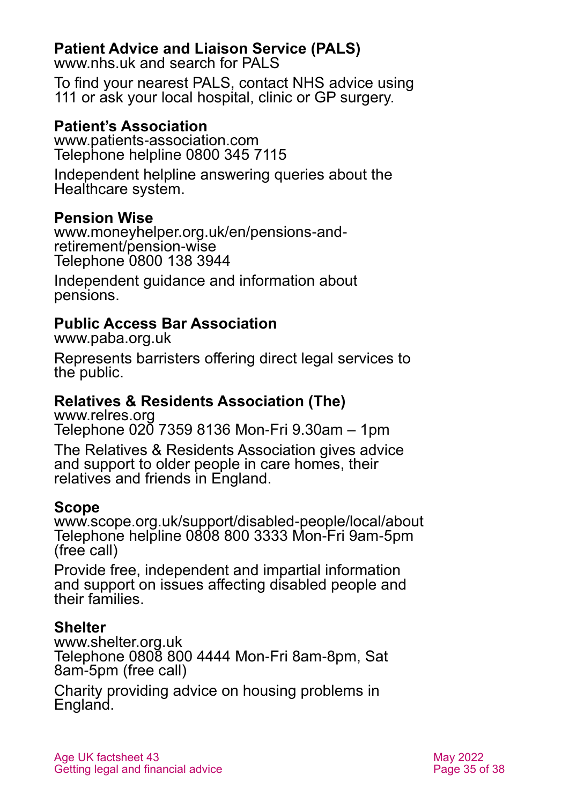### **Patient Advice and Liaison Service (PALS)**

[www.nhs.uk](http://www.nhs.uk/) and search for PALS

To find your nearest PALS, contact NHS advice using 111 or ask your local hospital, clinic or GP surgery.

#### **Patient's Association**

[www.patients-association.com](http://www.patients-association.com/) Telephone helpline 0800 345 7115

Independent helpline answering queries about the Healthcare system.

#### **Pension Wise**

[www.moneyhelper.org.uk/en/pensions-and](https://www.moneyhelper.org.uk/en/pensions-and-retirement/pension-wise)[retirement/pension-wise](https://www.moneyhelper.org.uk/en/pensions-and-retirement/pension-wise) Telephone 0800 138 3944

Independent guidance and information about pensions.

#### **Public Access Bar Association**

[www.paba.org.uk](http://www.paba.org.uk/)

Represents barristers offering direct legal services to the public.

## **Relatives & Residents Association (The)**

[www.relres.org](http://www.relres.org/) Telephone 020 7359 8136 Mon-Fri 9.30am – 1pm

The Relatives & Residents Association gives advice and support to older people in care homes, their relatives and friends in England.

#### **Scope**

[www.scope.org.uk/support/disabled-people/local/about](http://www.scope.org.uk/support/disabled-people/local/about) [Tele](tel:01302)phone helpline 0808 800 3333 Mon-Fri 9am-5pm (free call)

Provide free, independent and impartial information and support on issues affecting disabled people and their families.

#### **Shelter**

[www.shelter.org.uk](http://www.shelter.org.uk/) Telephone 0808 800 4444 Mon-Fri 8am-8pm, Sat 8am-5pm (free call)

Charity providing advice on housing problems in England.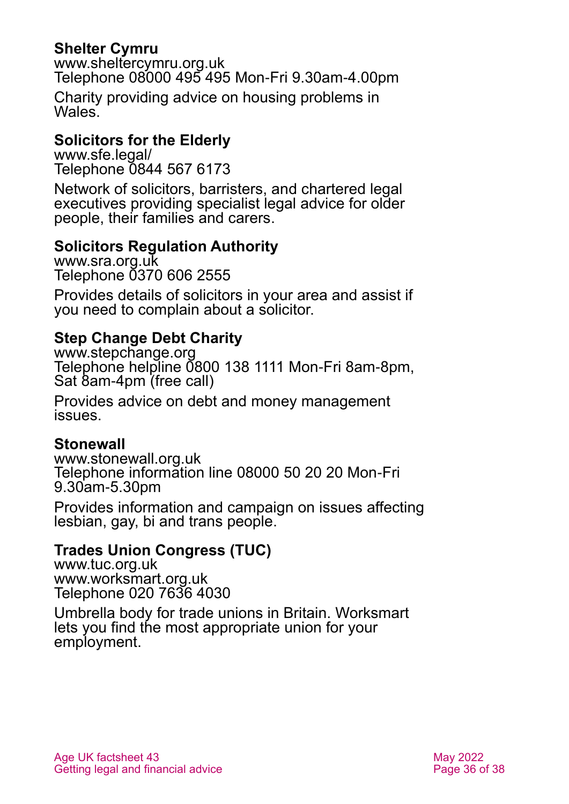#### **Shelter Cymru**

[www.sheltercymru.org.uk](http://www.sheltercymru.org.uk/) Telephone 08000 495 495 Mon-Fri 9.30am-4.00pm

Charity providing advice on housing problems in Wales<sup>'</sup>

#### **Solicitors for the Elderly**

[www.sfe.legal/](http://www.sfe.legal/) Telephone 0844 567 6173

Network of solicitors, barristers, and chartered legal executives providing specialist legal advice for older people, their families and carers.

#### **Solicitors Regulation Authority**

[www.sra.org.uk](http://www.sra.org.uk/) Telephone 0370 606 2555

Provides details of solicitors in your area and assist if you need to complain about a solicitor.

#### **Step Change Debt Charity**

[www.stepchange.org](http://www.stepchange.org/) Telephone helpline 0800 138 1111 Mon-Fri 8am-8pm, Sat 8am-4pm (free call)

Provides advice on debt and money management issues.

#### **Stonewall**

[www.stonewall.org.uk](http://www.stonewall.org.uk/) Telephone information line 08000 50 20 20 Mon-Fri 9.30am-5.30pm

Provides information and campaign on issues affecting lesbian, gay, bi and trans people.

#### **Trades Union Congress (TUC)**

[www.tuc.org.uk](http://www.tuc.org.uk/) [www.worksmart.org.uk](http://www.worksmart.org.uk/) Telephone 020 7636 4030

Umbrella body for trade unions in Britain. Worksmart lets you find the most appropriate union for your employment.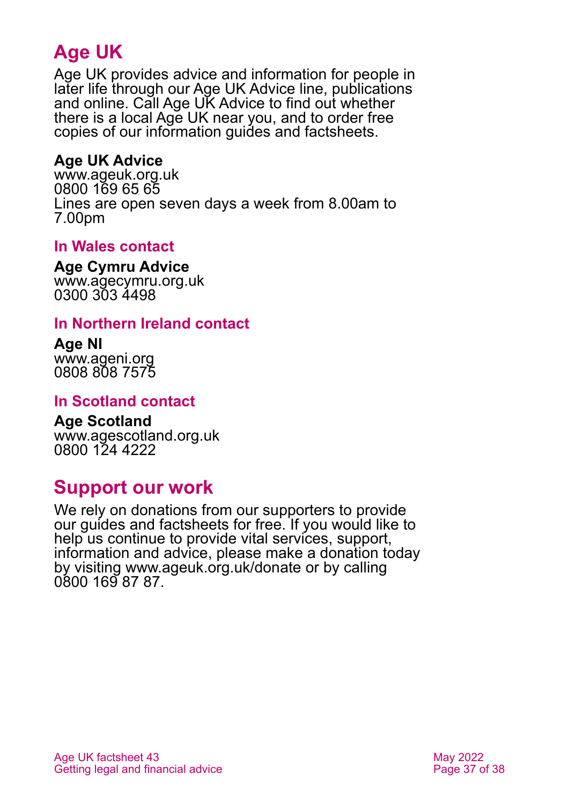## **Age UK**

Age UK provides advice and information for people in later life through our Age UK Advice line, publications and online. Call Age UK Advice to find out whether there is a local Age UK near you, and to order free copies of our information guides and factsheets.

#### <span id="page-36-1"></span>**Age UK Advice**

[www.ageuk.org.uk](http://www.ageuk.org.uk/) 0800 169 65 65 Lines are open seven days a week from 8.00am to 7.00pm

#### **In Wales contact**

**Age Cymru Advice**

[www.agecymru.org.uk](http://www.agecymru.org.uk/) 0300 303 4498

#### <span id="page-36-0"></span>**In Northern Ireland contact**

**Age NI** [www.ageni.org](http://www.ageni.org/) 0808 808 7575

#### **In Scotland contact**

<span id="page-36-2"></span>**Age Scotland** [www.agescotland.org.uk](http://www.agescotland.org.uk/) 0800 124 4222

## **Support our work**

We rely on donations from our supporters to provide our guides and factsheets for free. If you would like to help us continue to provide vital services, support, information and advice, please make a donation today by visiting [www.ageuk.org.uk/donate](http://www.ageuk.org.uk/donate) or by calling 0800 169 87 87.